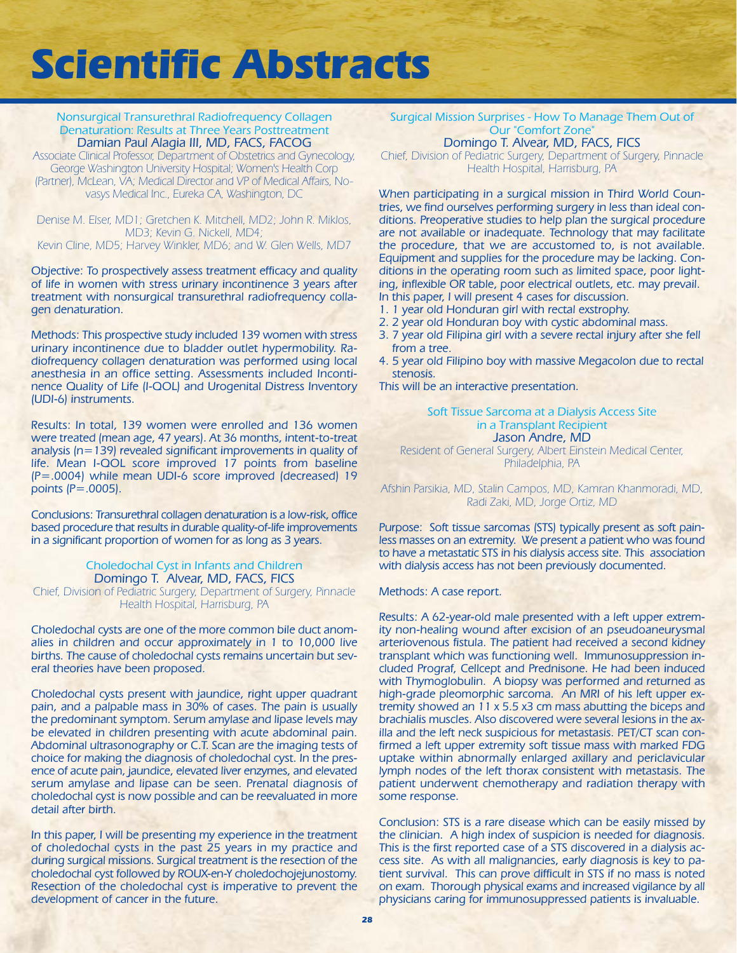### Nonsurgical Transurethral Radiofrequency Collagen Denaturation: Results at Three Years Posttreatment Damian Paul Alagia III, MD, FACS, FACOG

Associate Clinical Professor, Department of Obstetrics and Gynecology, George Washington University Hospital; Women's Health Corp (Partner), McLean, VA; Medical Director and VP of Medical Affairs, Novasys Medical Inc., Eureka CA, Washington, DC

Denise M. Elser, MD1; Gretchen K. Mitchell, MD2; John R. Miklos, MD3; Kevin G. Nickell, MD4; Kevin Cline, MD5; Harvey Winkler, MD6; and W. Glen Wells, MD7

Objective: To prospectively assess treatment efficacy and quality of life in women with stress urinary incontinence 3 years after treatment with nonsurgical transurethral radiofrequency collagen denaturation.

Methods: This prospective study included 139 women with stress urinary incontinence due to bladder outlet hypermobility. Radiofrequency collagen denaturation was performed using local anesthesia in an office setting. Assessments included Incontinence Quality of Life (I-QOL) and Urogenital Distress Inventory (UDI-6) instruments.

Results: In total, 139 women were enrolled and 136 women were treated (mean age, 47 years). At 36 months, intent-to-treat analysis (n=139) revealed significant improvements in quality of life. Mean I-QOL score improved 17 points from baseline (P=.0004) while mean UDI-6 score improved (decreased) 19 points (P=.0005).

Conclusions: Transurethral collagen denaturation is a low-risk, office based procedure that results in durable quality-of-life improvements in a significant proportion of women for as long as 3 years.

### Choledochal Cyst in Infants and Children Domingo T. Alvear, MD, FACS, FICS

Chief, Division of Pediatric Surgery, Department of Surgery, Pinnacle Health Hospital, Harrisburg, PA

Choledochal cysts are one of the more common bile duct anomalies in children and occur approximately in 1 to 10,000 live births. The cause of choledochal cysts remains uncertain but several theories have been proposed.

Choledochal cysts present with jaundice, right upper quadrant pain, and a palpable mass in 30% of cases. The pain is usually the predominant symptom. Serum amylase and lipase levels may be elevated in children presenting with acute abdominal pain. Abdominal ultrasonography or C.T. Scan are the imaging tests of choice for making the diagnosis of choledochal cyst. In the presence of acute pain, jaundice, elevated liver enzymes, and elevated serum amylase and lipase can be seen. Prenatal diagnosis of choledochal cyst is now possible and can be reevaluated in more detail after birth.

In this paper, I will be presenting my experience in the treatment of choledochal cysts in the past 25 years in my practice and during surgical missions. Surgical treatment is the resection of the choledochal cyst followed by ROUX-en-Y choledochojejunostomy. Resection of the choledochal cyst is imperative to prevent the development of cancer in the future.

Surgical Mission Surprises - How To Manage Them Out of Our "Comfort Zone" Domingo T. Alvear, MD, FACS, FICS

Chief, Division of Pediatric Surgery, Department of Surgery, Pinnacle Health Hospital, Harrisburg, PA

When participating in a surgical mission in Third World Countries, we find ourselves performing surgery in less than ideal conditions. Preoperative studies to help plan the surgical procedure are not available or inadequate. Technology that may facilitate the procedure, that we are accustomed to, is not available. Equipment and supplies for the procedure may be lacking. Conditions in the operating room such as limited space, poor lighting, inflexible OR table, poor electrical outlets, etc. may prevail. In this paper, I will present 4 cases for discussion.

- 1. 1 year old Honduran girl with rectal exstrophy.
- 2. 2 year old Honduran boy with cystic abdominal mass.
- 3. 7 year old Filipina girl with a severe rectal injury after she fell from a tree.
- 4. 5 year old Filipino boy with massive Megacolon due to rectal stenosis.

This will be an interactive presentation.

#### Soft Tissue Sarcoma at a Dialysis Access Site in a Transplant Recipient Jason Andre, MD

Resident of General Surgery, Albert Einstein Medical Center, Philadelphia, PA

Afshin Parsikia, MD, Stalin Campos, MD, Kamran Khanmoradi, MD, Radi Zaki, MD, Jorge Ortiz, MD

Purpose: Soft tissue sarcomas (STS) typically present as soft painless masses on an extremity. We present a patient who was found to have a metastatic STS in his dialysis access site. This association with dialysis access has not been previously documented.

Methods: A case report.

Results: A 62-year-old male presented with a left upper extremity non-healing wound after excision of an pseudoaneurysmal arteriovenous fistula. The patient had received a second kidney transplant which was functioning well. Immunosuppression included Prograf, Cellcept and Prednisone. He had been induced with Thymoglobulin. A biopsy was performed and returned as high-grade pleomorphic sarcoma. An MRI of his left upper extremity showed an 11 x 5.5 x3 cm mass abutting the biceps and brachialis muscles. Also discovered were several lesions in the axilla and the left neck suspicious for metastasis. PET/CT scan confirmed a left upper extremity soft tissue mass with marked FDG uptake within abnormally enlarged axillary and periclavicular lymph nodes of the left thorax consistent with metastasis. The patient underwent chemotherapy and radiation therapy with some response.

Conclusion: STS is a rare disease which can be easily missed by the clinician. A high index of suspicion is needed for diagnosis. This is the first reported case of a STS discovered in a dialysis access site. As with all malignancies, early diagnosis is key to patient survival. This can prove difficult in STS if no mass is noted on exam. Thorough physical exams and increased vigilance by all physicians caring for immunosuppressed patients is invaluable.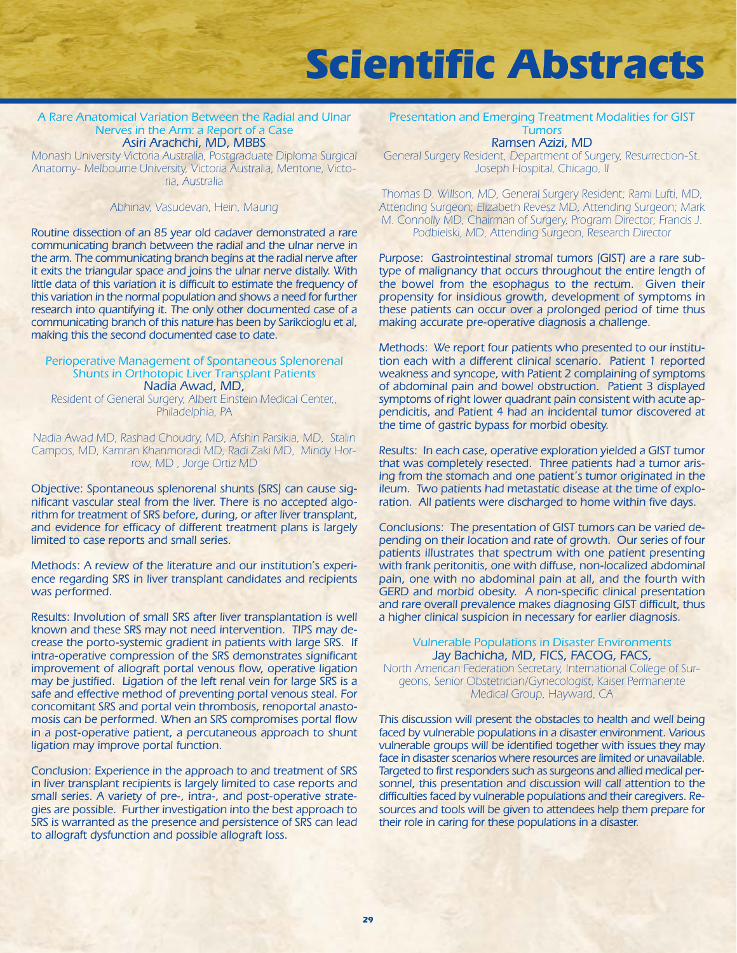#### A Rare Anatomical Variation Between the Radial and Ulnar Nerves in the Arm: a Report of a Case Asiri Arachchi, MD, MBBS

Monash University Victoria Australia, Postgraduate Diploma Surgical Anatomy- Melbourne University, Victoria Australia, Mentone, Victoria, Australia

#### Abhinav, Vasudevan, Hein, Maung

Routine dissection of an 85 year old cadaver demonstrated a rare communicating branch between the radial and the ulnar nerve in the arm. The communicating branch begins at the radial nerve after it exits the triangular space and joins the ulnar nerve distally. With little data of this variation it is difficult to estimate the frequency of this variation in the normal population and shows a need for further research into quantifying it. The only other documented case of a communicating branch of this nature has been by Sarikcioglu et al, making this the second documented case to date.

#### Perioperative Management of Spontaneous Splenorenal Shunts in Orthotopic Liver Transplant Patients Nadia Awad, MD,

Resident of General Surgery, Albert Einstein Medical Center,, Philadelphia, PA

Nadia Awad MD, Rashad Choudry, MD, Afshin Parsikia, MD, Stalin Campos, MD, Kamran Khanmoradi MD, Radi Zaki MD, Mindy Horrow, MD , Jorge Ortiz MD

Objective: Spontaneous splenorenal shunts (SRS) can cause significant vascular steal from the liver. There is no accepted algorithm for treatment of SRS before, during, or after liver transplant, and evidence for efficacy of different treatment plans is largely limited to case reports and small series.

Methods: A review of the literature and our institution's experience regarding SRS in liver transplant candidates and recipients was performed.

Results: Involution of small SRS after liver transplantation is well known and these SRS may not need intervention. TIPS may decrease the porto-systemic gradient in patients with large SRS. If intra-operative compression of the SRS demonstrates significant improvement of allograft portal venous flow, operative ligation may be justified. Ligation of the left renal vein for large SRS is a safe and effective method of preventing portal venous steal. For concomitant SRS and portal vein thrombosis, renoportal anastomosis can be performed. When an SRS compromises portal flow in a post-operative patient, a percutaneous approach to shunt ligation may improve portal function.

Conclusion: Experience in the approach to and treatment of SRS in liver transplant recipients is largely limited to case reports and small series. A variety of pre-, intra-, and post-operative strategies are possible. Further investigation into the best approach to SRS is warranted as the presence and persistence of SRS can lead to allograft dysfunction and possible allograft loss.

Presentation and Emerging Treatment Modalities for GIST **Tumors** Ramsen Azizi, MD

General Surgery Resident, Department of Surgery, Resurrection-St. Joseph Hospital, Chicago, Il

Thomas D. Willson, MD, General Surgery Resident; Rami Lufti, MD, Attending Surgeon; Elizabeth Revesz MD, Attending Surgeon; Mark M. Connolly MD, Chairman of Surgery, Program Director; Francis J. Podbielski, MD, Attending Surgeon, Research Director

Purpose: Gastrointestinal stromal tumors (GIST) are a rare subtype of malignancy that occurs throughout the entire length of the bowel from the esophagus to the rectum. Given their propensity for insidious growth, development of symptoms in these patients can occur over a prolonged period of time thus making accurate pre-operative diagnosis a challenge.

Methods: We report four patients who presented to our institution each with a different clinical scenario. Patient 1 reported weakness and syncope, with Patient 2 complaining of symptoms of abdominal pain and bowel obstruction. Patient 3 displayed symptoms of right lower quadrant pain consistent with acute appendicitis, and Patient 4 had an incidental tumor discovered at the time of gastric bypass for morbid obesity.

Results: In each case, operative exploration yielded a GIST tumor that was completely resected. Three patients had a tumor arising from the stomach and one patient's tumor originated in the ileum. Two patients had metastatic disease at the time of exploration. All patients were discharged to home within five days.

Conclusions: The presentation of GIST tumors can be varied depending on their location and rate of growth. Our series of four patients illustrates that spectrum with one patient presenting with frank peritonitis, one with diffuse, non-localized abdominal pain, one with no abdominal pain at all, and the fourth with GERD and morbid obesity. A non-specific clinical presentation and rare overall prevalence makes diagnosing GIST difficult, thus a higher clinical suspicion in necessary for earlier diagnosis.

#### Vulnerable Populations in Disaster Environments Jay Bachicha, MD, FICS, FACOG, FACS,

North American Federation Secretary, International College of Surgeons, Senior Obstetrician/Gynecologist, Kaiser Permanente Medical Group, Hayward, CA

This discussion will present the obstacles to health and well being faced by vulnerable populations in a disaster environment. Various vulnerable groups will be identified together with issues they may face in disaster scenarios where resources are limited or unavailable. Targeted to first responders such as surgeons and allied medical personnel, this presentation and discussion will call attention to the difficulties faced by vulnerable populations and their caregivers. Resources and tools will be given to attendees help them prepare for their role in caring for these populations in a disaster.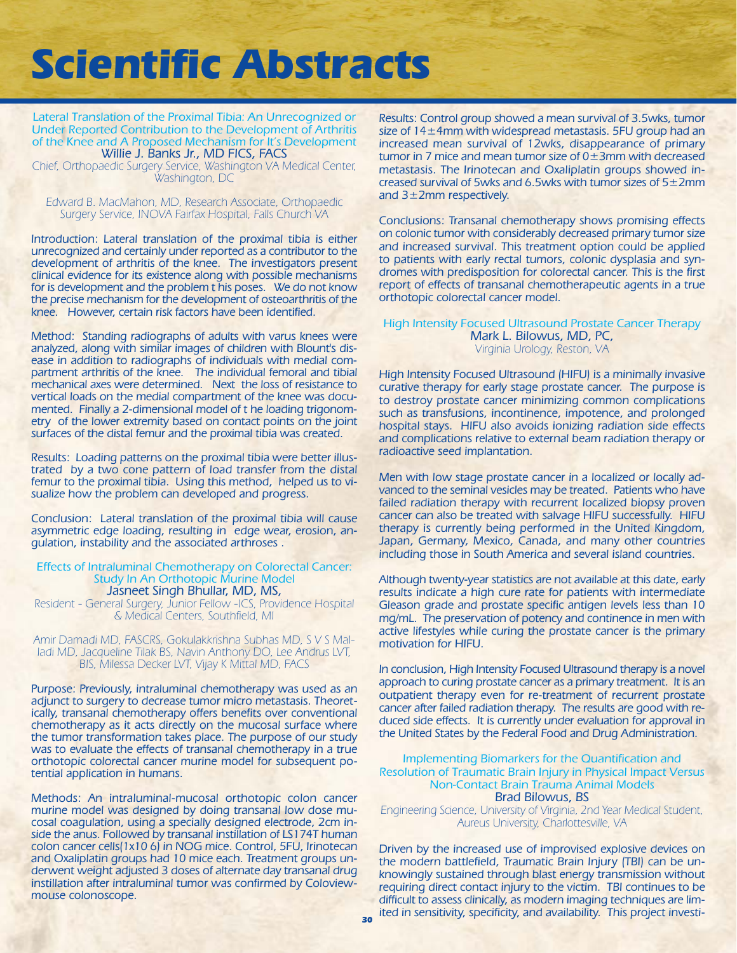Lateral Translation of the Proximal Tibia: An Unrecognized or Under Reported Contribution to the Development of Arthritis of the Knee and A Proposed Mechanism for It's Development Willie J. Banks Jr., MD FICS, FACS

Chief, Orthopaedic Surgery Service, Washington VA Medical Center, Washington, DC

Edward B. MacMahon, MD, Research Associate, Orthopaedic Surgery Service, INOVA Fairfax Hospital, Falls Church VA

Introduction: Lateral translation of the proximal tibia is either unrecognized and certainly under reported as a contributor to the development of arthritis of the knee. The investigators present clinical evidence for its existence along with possible mechanisms for is development and the problem t his poses. We do not know the precise mechanism for the development of osteoarthritis of the knee. However, certain risk factors have been identified.

Method: Standing radiographs of adults with varus knees were analyzed, along with similar images of children with Blount's disease in addition to radiographs of individuals with medial compartment arthritis of the knee. The individual femoral and tibial mechanical axes were determined. Next the loss of resistance to vertical loads on the medial compartment of the knee was documented. Finally a 2-dimensional model of t he loading trigonometry of the lower extremity based on contact points on the joint surfaces of the distal femur and the proximal tibia was created.

Results: Loading patterns on the proximal tibia were better illustrated by a two cone pattern of load transfer from the distal femur to the proximal tibia. Using this method, helped us to visualize how the problem can developed and progress.

Conclusion: Lateral translation of the proximal tibia will cause asymmetric edge loading, resulting in edge wear, erosion, angulation, instability and the associated arthroses .

### Effects of Intraluminal Chemotherapy on Colorectal Cancer: Study In An Orthotopic Murine Model

Jasneet Singh Bhullar, MD, MS,

Resident - General Surgery, Junior Fellow -ICS, Providence Hospital & Medical Centers, Southfield, MI

Amir Damadi MD, FASCRS, Gokulakkrishna Subhas MD, S V S Malladi MD, Jacqueline Tilak BS, Navin Anthony DO, Lee Andrus LVT, BIS, Milessa Decker LVT, Vijay K Mittal MD, FACS

Purpose: Previously, intraluminal chemotherapy was used as an adjunct to surgery to decrease tumor micro metastasis. Theoretically, transanal chemotherapy offers benefits over conventional chemotherapy as it acts directly on the mucosal surface where the tumor transformation takes place. The purpose of our study was to evaluate the effects of transanal chemotherapy in a true orthotopic colorectal cancer murine model for subsequent potential application in humans.

Methods: An intraluminal-mucosal orthotopic colon cancer murine model was designed by doing transanal low dose mucosal coagulation, using a specially designed electrode, 2cm inside the anus. Followed by transanal instillation of LS174T human colon cancer cells(1x10 6) in NOG mice. Control, 5FU, Irinotecan and Oxaliplatin groups had 10 mice each. Treatment groups underwent weight adjusted 3 doses of alternate day transanal drug instillation after intraluminal tumor was confirmed by Coloviewmouse colonoscope.

Results: Control group showed a mean survival of 3.5wks, tumor size of 14±4mm with widespread metastasis. 5FU group had an increased mean survival of 12wks, disappearance of primary tumor in 7 mice and mean tumor size of 0±3mm with decreased metastasis. The Irinotecan and Oxaliplatin groups showed increased survival of 5wks and 6.5wks with tumor sizes of 5±2mm and 3±2mm respectively.

Conclusions: Transanal chemotherapy shows promising effects on colonic tumor with considerably decreased primary tumor size and increased survival. This treatment option could be applied to patients with early rectal tumors, colonic dysplasia and syndromes with predisposition for colorectal cancer. This is the first report of effects of transanal chemotherapeutic agents in a true orthotopic colorectal cancer model.

#### High Intensity Focused Ultrasound Prostate Cancer Therapy Mark L. Bilowus, MD, PC, Virginia Urology, Reston, VA

High Intensity Focused Ultrasound (HIFU) is a minimally invasive curative therapy for early stage prostate cancer. The purpose is to destroy prostate cancer minimizing common complications such as transfusions, incontinence, impotence, and prolonged hospital stays. HIFU also avoids ionizing radiation side effects and complications relative to external beam radiation therapy or radioactive seed implantation.

Men with low stage prostate cancer in a localized or locally advanced to the seminal vesicles may be treated. Patients who have failed radiation therapy with recurrent localized biopsy proven cancer can also be treated with salvage HIFU successfully. HIFU therapy is currently being performed in the United Kingdom, Japan, Germany, Mexico, Canada, and many other countries including those in South America and several island countries.

Although twenty-year statistics are not available at this date, early results indicate a high cure rate for patients with intermediate Gleason grade and prostate specific antigen levels less than 10 mg/mL. The preservation of potency and continence in men with active lifestyles while curing the prostate cancer is the primary motivation for HIFU.

In conclusion, High Intensity Focused Ultrasound therapy is a novel approach to curing prostate cancer as a primary treatment. It is an outpatient therapy even for re-treatment of recurrent prostate cancer after failed radiation therapy. The results are good with reduced side effects. It is currently under evaluation for approval in the United States by the Federal Food and Drug Administration.

#### Implementing Biomarkers for the Quantification and Resolution of Traumatic Brain Injury in Physical Impact Versus Non-Contact Brain Trauma Animal Models Brad Bilowus, BS

Engineering Science, University of Virginia, 2nd Year Medical Student, Aureus University, Charlottesville, VA

Driven by the increased use of improvised explosive devices on the modern battlefield, Traumatic Brain Injury (TBI) can be unknowingly sustained through blast energy transmission without requiring direct contact injury to the victim. TBI continues to be difficult to assess clinically, as modern imaging techniques are limited in sensitivity, specificity, and availability. This project investi- **<sup>30</sup>**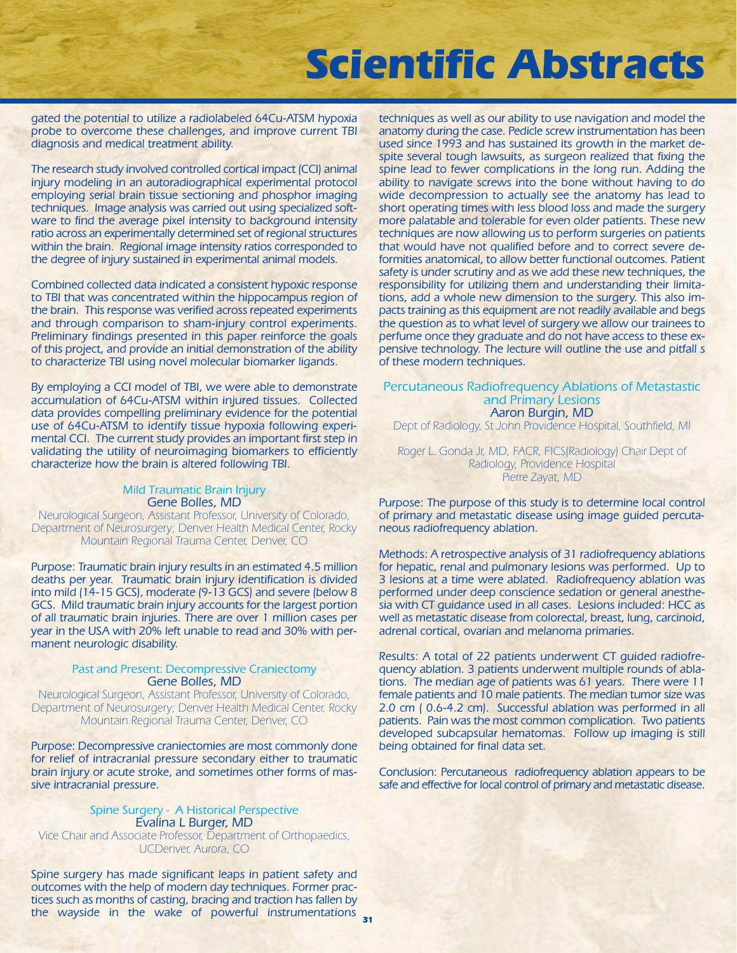gated the potential to utilize a radiolabeled 64Cu-ATSM hypoxia probe to overcome these challenges, and improve current TBI diagnosis and medical treatment ability.

The research study involved controlled cortical impact (CCI) animal injury modeling in an autoradiographical experimental protocol employing serial brain tissue sectioning and phosphor imaging techniques. Image analysis was carried out using specialized software to find the average pixel intensity to background intensity ratio across an experimentally determined set of regional structures within the brain. Regional image intensity ratios corresponded to the degree of injury sustained in experimental animal models.

Combined collected data indicated a consistent hypoxic response to TBI that was concentrated within the hippocampus region of the brain. This response was verified across repeated experiments and through comparison to sham-injury control experiments. Preliminary findings presented in this paper reinforce the goals of this project, and provide an initial demonstration of the ability to characterize TBI using novel molecular biomarker ligands.

By employing a CCI model of TBI, we were able to demonstrate accumulation of 64Cu-ATSM within injured tissues. Collected data provides compelling preliminary evidence for the potential use of 64Cu-ATSM to identify tissue hypoxia following experimental CCI. The current study provides an important first step in validating the utility of neuroimaging biomarkers to efficiently characterize how the brain is altered following TBI.

### Mild Traumatic Brain Injury Gene Bolles, MD

Neurological Surgeon, Assistant Professor, University of Colorado, Department of Neurosurgery; Denver Health Medical Center, Rocky Mountain Regional Trauma Center, Denver, CO

Purpose: Traumatic brain injury results in an estimated 4.5 million deaths per year. Traumatic brain injury identification is divided into mild (14-15 GCS), moderate (9-13 GCS) and severe (below 8 GCS. Mild traumatic brain injury accounts for the largest portion of all traumatic brain injuries. There are over 1 million cases per year in the USA with 20% left unable to read and 30% with permanent neurologic disability.

#### Past and Present: Decompressive Craniectomy Gene Bolles, MD

Neurological Surgeon, Assistant Professor, University of Colorado, Department of Neurosurgery; Denver Health Medical Center, Rocky Mountain Regional Trauma Center, Denver, CO

Purpose: Decompressive craniectomies are most commonly done for relief of intracranial pressure secondary either to traumatic brain injury or acute stroke, and sometimes other forms of massive intracranial pressure.

#### Spine Surgery - A Historical Perspective Evalina L Burger, MD

Vice Chair and Associate Professor, Department of Orthopaedics, UCDenver, Aurora, CO

Spine surgery has made significant leaps in patient safety and outcomes with the help of modern day techniques. Former practices such as months of casting, bracing and traction has fallen by the wayside in the wake of powerful instrumentations **31**

techniques as well as our ability to use navigation and model the anatomy during the case. Pedicle screw instrumentation has been used since 1993 and has sustained its growth in the market despite several tough lawsuits, as surgeon realized that fixing the spine lead to fewer complications in the long run. Adding the ability to navigate screws into the bone without having to do wide decompression to actually see the anatomy has lead to short operating times with less blood loss and made the surgery more palatable and tolerable for even older patients. These new techniques are now allowing us to perform surgeries on patients that would have not qualified before and to correct severe deformities anatomical, to allow better functional outcomes. Patient safety is under scrutiny and as we add these new techniques, the responsibility for utilizing them and understanding their limitations, add a whole new dimension to the surgery. This also impacts training as this equipment are not readily available and begs the question as to what level of surgery we allow our trainees to perfume once they graduate and do not have access to these expensive technology. The lecture will outline the use and pitfall s of these modern techniques.

#### Percutaneous Radiofrequency Ablations of Metastastic and Primary Lesions Aaron Burgin, MD

Dept of Radiology, St John Providence Hospital, Southfield, MI

Roger L. Gonda Jr, MD, FACR, FICS(Radiology) Chair Dept of Radiology, Providence Hospital Pierre Zayat, MD

Purpose: The purpose of this study is to determine local control of primary and metastatic disease using image guided percutaneous radiofrequency ablation.

Methods: A retrospective analysis of 31 radiofrequency ablations for hepatic, renal and pulmonary lesions was performed. Up to 3 lesions at a time were ablated. Radiofrequency ablation was performed under deep conscience sedation or general anesthesia with CT guidance used in all cases. Lesions included: HCC as well as metastatic disease from colorectal, breast, lung, carcinoid, adrenal cortical, ovarian and melanoma primaries.

Results: A total of 22 patients underwent CT guided radiofrequency ablation. 3 patients underwent multiple rounds of ablations. The median age of patients was 61 years. There were 11 female patients and 10 male patients. The median tumor size was 2.0 cm ( 0.6-4.2 cm). Successful ablation was performed in all patients. Pain was the most common complication. Two patients developed subcapsular hematomas. Follow up imaging is still being obtained for final data set.

Conclusion: Percutaneous radiofrequency ablation appears to be safe and effective for local control of primary and metastatic disease.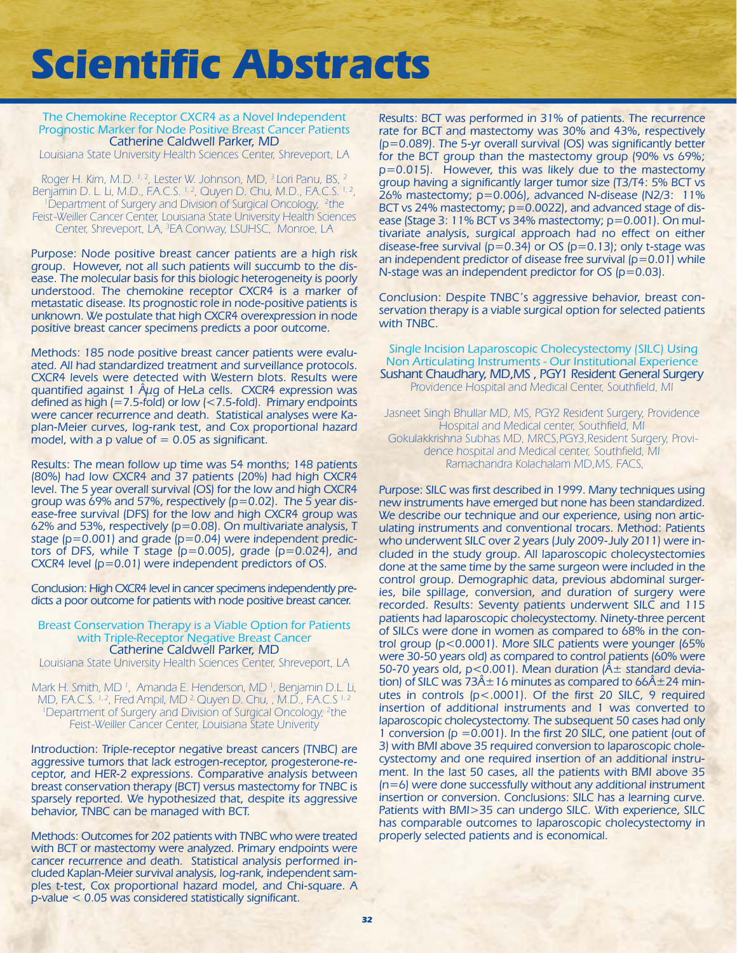The Chemokine Receptor CXCR4 as a Novel Independent Prognostic Marker for Node Positive Breast Cancer Patients Catherine Caldwell Parker, MD

Louisiana State University Health Sciences Center, Shreveport, LA

Roger H. Kim, M.D. <sup>1, 2</sup>, Lester W. Johnson, MD, <sup>3</sup> Lori Panu, BS, <sup>2</sup> Benjamin D. L. Li, M.D., F.A.C.S. <sup>1, 2</sup>, Quyen D. Chu, M.D., F.A.C.S. <sup>1, 2</sup>, <sup>1</sup>Department of Surgery and Division of Surgical Oncology, <sup>2</sup>the Feist-Weiller Cancer Center, Louisiana State University Health Sciences Center, Shreveport, LA, <sup>3</sup>EA Conway, LSUHSC, Monroe, LA

Purpose: Node positive breast cancer patients are a high risk group. However, not all such patients will succumb to the disease. The molecular basis for this biologic heterogeneity is poorly understood. The chemokine receptor CXCR4 is a marker of metastatic disease. Its prognostic role in node-positive patients is unknown. We postulate that high CXCR4 overexpression in node positive breast cancer specimens predicts a poor outcome.

Methods: 185 node positive breast cancer patients were evaluated. All had standardized treatment and surveillance protocols. CXCR4 levels were detected with Western blots. Results were quantified against 1  $\hat{A}\mu$ g of HeLa cells. CXCR4 expression was defined as high (=7.5-fold) or low (<7.5-fold). Primary endpoints were cancer recurrence and death. Statistical analyses were Kaplan-Meier curves, log-rank test, and Cox proportional hazard model, with a  $p$  value of  $= 0.05$  as significant.

Results: The mean follow up time was 54 months; 148 patients (80%) had low CXCR4 and 37 patients (20%) had high CXCR4 level. The 5 year overall survival (OS) for the low and high CXCR4 group was  $69\%$  and 57%, respectively ( $p=0.02$ ). The 5 year disease-free survival (DFS) for the low and high CXCR4 group was 62% and 53%, respectively  $(p=0.08)$ . On multivariate analysis, T stage ( $p=0.001$ ) and grade ( $p=0.04$ ) were independent predictors of DFS, while T stage  $(p=0.005)$ , grade  $(p=0.024)$ , and CXCR4 level (p=0.01) were independent predictors of OS.

Conclusion: High CXCR4 level in cancer specimens independently predicts a poor outcome for patients with node positive breast cancer.

#### Breast Conservation Therapy is a Viable Option for Patients with Triple-Receptor Negative Breast Cancer Catherine Caldwell Parker, MD

Louisiana State University Health Sciences Center, Shreveport, LA

Mark H. Smith, MD <sup>1</sup>, Amanda E. Henderson, MD <sup>1</sup>, Benjamin D.L. Li, MD, F.A.C.S. 1, 2, Fred Ampil, MD <sup>2,</sup> Quyen D. Chu, , M.D., F.A.C.S<sup>1, 2</sup> <sup>1</sup>Department of Surgery and Division of Surgical Oncology, <sup>2</sup>the Feist-Weiller Cancer Center, Louisiana State Univerity

Introduction: Triple-receptor negative breast cancers (TNBC) are aggressive tumors that lack estrogen-receptor, progesterone-receptor, and HER-2 expressions. Comparative analysis between breast conservation therapy (BCT) versus mastectomy for TNBC is sparsely reported. We hypothesized that, despite its aggressive behavior, TNBC can be managed with BCT.

Methods: Outcomes for 202 patients with TNBC who were treated with BCT or mastectomy were analyzed. Primary endpoints were cancer recurrence and death. Statistical analysis performed included Kaplan-Meier survival analysis, log-rank, independent samples t-test, Cox proportional hazard model, and Chi-square. A p-value < 0.05 was considered statistically significant.

Results: BCT was performed in 31% of patients. The recurrence rate for BCT and mastectomy was 30% and 43%, respectively (p=0.089). The 5-yr overall survival (OS) was significantly better for the BCT group than the mastectomy group (90% vs 69%; p=0.015). However, this was likely due to the mastectomy group having a significantly larger tumor size (T3/T4: 5% BCT vs 26% mastectomy; p=0.006), advanced N-disease (N2/3: 11% BCT vs 24% mastectomy; p=0.0022), and advanced stage of disease (Stage 3: 11% BCT vs 34% mastectomy; p=0.001). On multivariate analysis, surgical approach had no effect on either disease-free survival ( $p=0.34$ ) or OS ( $p=0.13$ ); only t-stage was an independent predictor of disease free survival  $(p=0.01)$  while N-stage was an independent predictor for OS (p=0.03).

Conclusion: Despite TNBC's aggressive behavior, breast conservation therapy is a viable surgical option for selected patients with TNBC.

Single Incision Laparoscopic Cholecystectomy (SILC) Using Non Articulating Instruments - Our Institutional Experience Sushant Chaudhary, MD,MS , PGY1 Resident General Surgery Providence Hospital and Medical Center, Southfield, MI

Jasneet Singh Bhullar MD, MS, PGY2 Resident Surgery, Providence Hospital and Medical center, Southfield, MI Gokulakkrishna Subhas MD, MRCS,PGY3,Resident Surgery, Providence hospital and Medical center, Southfield, MI Ramachandra Kolachalam MD,MS, FACS,

Purpose: SILC was first described in 1999. Many techniques using new instruments have emerged but none has been standardized. We describe our technique and our experience, using non articulating instruments and conventional trocars. Method: Patients who underwent SILC over 2 years (July 2009-July 2011) were included in the study group. All laparoscopic cholecystectomies done at the same time by the same surgeon were included in the control group. Demographic data, previous abdominal surgeries, bile spillage, conversion, and duration of surgery were recorded. Results: Seventy patients underwent SILC and 115 patients had laparoscopic cholecystectomy. Ninety-three percent of SILCs were done in women as compared to 68% in the control group (p<0.0001). More SILC patients were younger (65% were 30-50 years old) as compared to control patients (60% were 50-70 years old,  $p < 0.001$ ). Mean duration ( $\AA \pm$  standard deviation) of SILC was  $73\text{\AA} \pm 16$  minutes as compared to  $66\text{\AA} \pm 24$  minutes in controls (p<.0001). Of the first 20 SILC, 9 required insertion of additional instruments and 1 was converted to laparoscopic cholecystectomy. The subsequent 50 cases had only 1 conversion  $(p = 0.001)$ . In the first 20 SILC, one patient (out of 3) with BMI above 35 required conversion to laparoscopic cholecystectomy and one required insertion of an additional instrument. In the last 50 cases, all the patients with BMI above 35 (n=6) were done successfully without any additional instrument insertion or conversion. Conclusions: SILC has a learning curve. Patients with BMI>35 can undergo SILC. With experience, SILC has comparable outcomes to laparoscopic cholecystectomy in properly selected patients and is economical.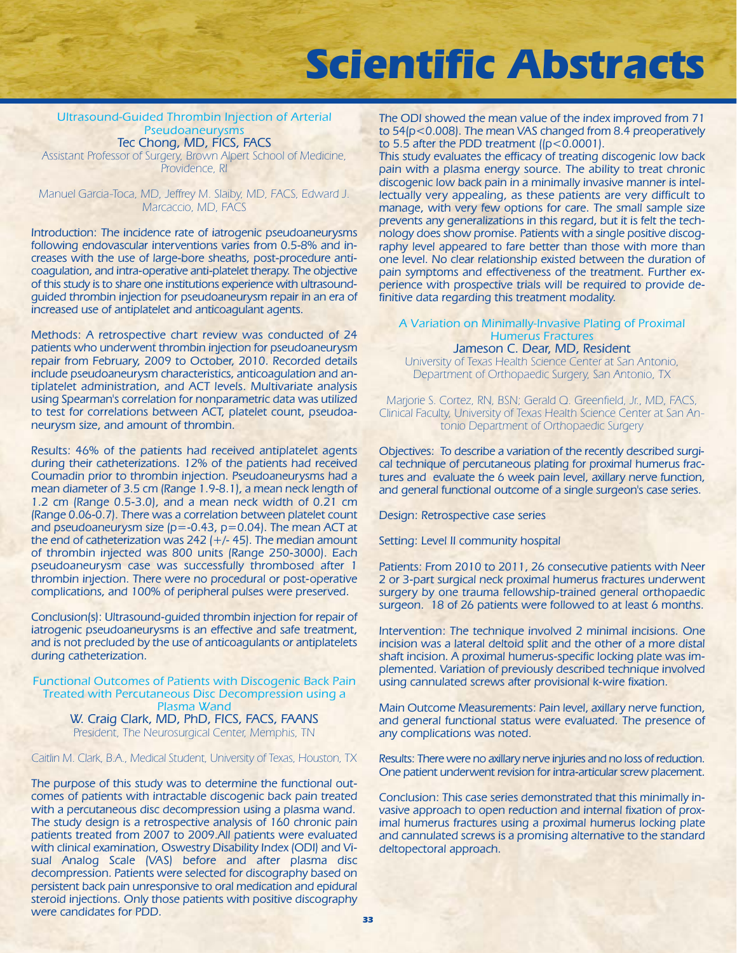#### Ultrasound-Guided Thrombin Injection of Arterial Pseudoaneurysms Tec Chong, MD, FICS, FACS

Assistant Professor of Surgery, Brown Alpert School of Medicine, Providence, RI

Manuel Garcia-Toca, MD, Jeffrey M. Slaiby, MD, FACS, Edward J. Marcaccio, MD, FACS

Introduction: The incidence rate of iatrogenic pseudoaneurysms following endovascular interventions varies from 0.5-8% and increases with the use of large-bore sheaths, post-procedure anticoagulation, and intra-operative anti-platelet therapy. The objective of this study is to share one institutions experience with ultrasoundguided thrombin injection for pseudoaneurysm repair in an era of increased use of antiplatelet and anticoagulant agents.

Methods: A retrospective chart review was conducted of 24 patients who underwent thrombin injection for pseudoaneurysm repair from February, 2009 to October, 2010. Recorded details include pseudoaneurysm characteristics, anticoagulation and antiplatelet administration, and ACT levels. Multivariate analysis using Spearman's correlation for nonparametric data was utilized to test for correlations between ACT, platelet count, pseudoaneurysm size, and amount of thrombin.

Results: 46% of the patients had received antiplatelet agents during their catheterizations. 12% of the patients had received Coumadin prior to thrombin injection. Pseudoaneurysms had a mean diameter of 3.5 cm (Range 1.9-8.1), a mean neck length of 1.2 cm (Range 0.5-3.0), and a mean neck width of 0.21 cm (Range 0.06-0.7). There was a correlation between platelet count and pseudoaneurysm size  $(p = -0.43, p = 0.04)$ . The mean ACT at the end of catheterization was 242 (+/- 45). The median amount of thrombin injected was 800 units (Range 250-3000). Each pseudoaneurysm case was successfully thrombosed after 1 thrombin injection. There were no procedural or post-operative complications, and 100% of peripheral pulses were preserved.

Conclusion(s): Ultrasound-guided thrombin injection for repair of iatrogenic pseudoaneurysms is an effective and safe treatment, and is not precluded by the use of anticoagulants or antiplatelets during catheterization.

Functional Outcomes of Patients with Discogenic Back Pain Treated with Percutaneous Disc Decompression using a Plasma Wand W. Craig Clark, MD, PhD, FICS, FACS, FAANS President, The Neurosurgical Center, Memphis, TN

Caitlin M. Clark, B.A., Medical Student, University of Texas, Houston, TX

The purpose of this study was to determine the functional outcomes of patients with intractable discogenic back pain treated with a percutaneous disc decompression using a plasma wand. The study design is a retrospective analysis of 160 chronic pain patients treated from 2007 to 2009.All patients were evaluated with clinical examination, Oswestry Disability Index (ODI) and Visual Analog Scale (VAS) before and after plasma disc decompression. Patients were selected for discography based on persistent back pain unresponsive to oral medication and epidural steroid injections. Only those patients with positive discography were candidates for PDD.

The ODI showed the mean value of the index improved from 71 to 54(p<0.008). The mean VAS changed from 8.4 preoperatively to 5.5 after the PDD treatment  $([p<0.0001])$ .

This study evaluates the efficacy of treating discogenic low back pain with a plasma energy source. The ability to treat chronic discogenic low back pain in a minimally invasive manner is intellectually very appealing, as these patients are very difficult to manage, with very few options for care. The small sample size prevents any generalizations in this regard, but it is felt the technology does show promise. Patients with a single positive discography level appeared to fare better than those with more than one level. No clear relationship existed between the duration of pain symptoms and effectiveness of the treatment. Further experience with prospective trials will be required to provide definitive data regarding this treatment modality.

### A Variation on Minimally-Invasive Plating of Proximal Humerus Fractures

Jameson C. Dear, MD, Resident University of Texas Health Science Center at San Antonio, Department of Orthopaedic Surgery, San Antonio, TX

Marjorie S. Cortez, RN, BSN; Gerald Q. Greenfield, Jr., MD, FACS, Clinical Faculty, University of Texas Health Science Center at San Antonio Department of Orthopaedic Surgery

Objectives: To describe a variation of the recently described surgical technique of percutaneous plating for proximal humerus fractures and evaluate the 6 week pain level, axillary nerve function, and general functional outcome of a single surgeon's case series.

Design: Retrospective case series

Setting: Level II community hospital

Patients: From 2010 to 2011, 26 consecutive patients with Neer 2 or 3-part surgical neck proximal humerus fractures underwent surgery by one trauma fellowship-trained general orthopaedic surgeon. 18 of 26 patients were followed to at least 6 months.

Intervention: The technique involved 2 minimal incisions. One incision was a lateral deltoid split and the other of a more distal shaft incision. A proximal humerus-specific locking plate was implemented. Variation of previously described technique involved using cannulated screws after provisional k-wire fixation.

Main Outcome Measurements: Pain level, axillary nerve function, and general functional status were evaluated. The presence of any complications was noted.

Results: There were no axillary nerve injuries and no loss of reduction. One patient underwent revision for intra-articular screw placement.

Conclusion: This case series demonstrated that this minimally invasive approach to open reduction and internal fixation of proximal humerus fractures using a proximal humerus locking plate and cannulated screws is a promising alternative to the standard deltopectoral approach.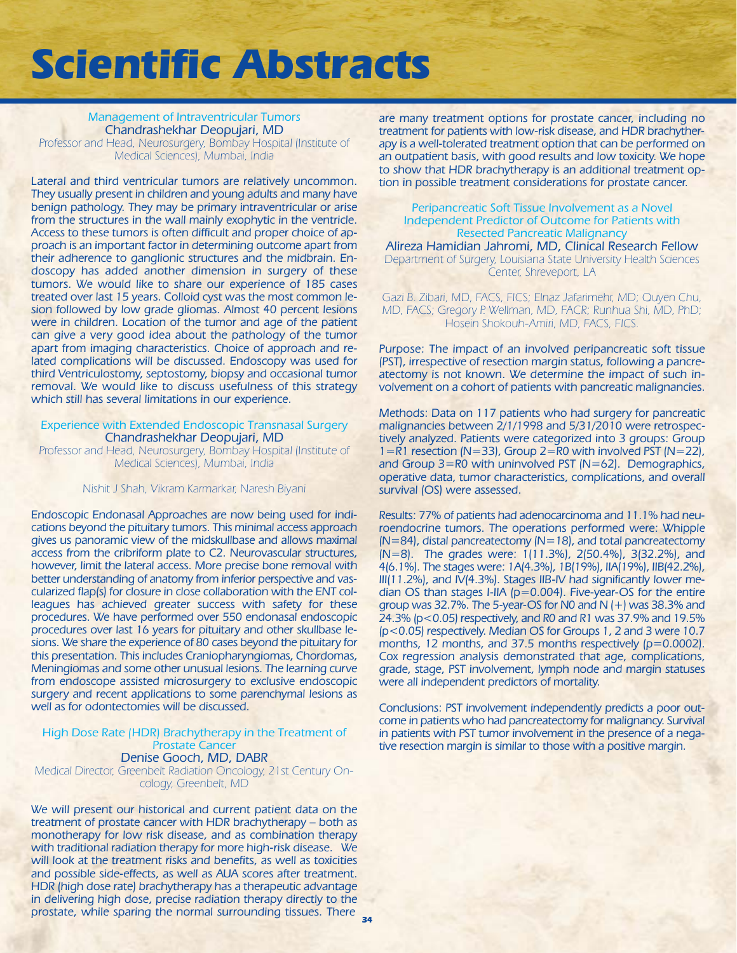Management of Intraventricular Tumors Chandrashekhar Deopujari, MD Professor and Head, Neurosurgery, Bombay Hospital (Institute of Medical Sciences), Mumbai, India

Lateral and third ventricular tumors are relatively uncommon. They usually present in children and young adults and many have benign pathology. They may be primary intraventricular or arise from the structures in the wall mainly exophytic in the ventricle. Access to these tumors is often difficult and proper choice of approach is an important factor in determining outcome apart from their adherence to ganglionic structures and the midbrain. Endoscopy has added another dimension in surgery of these tumors. We would like to share our experience of 185 cases treated over last 15 years. Colloid cyst was the most common lesion followed by low grade gliomas. Almost 40 percent lesions were in children. Location of the tumor and age of the patient can give a very good idea about the pathology of the tumor apart from imaging characteristics. Choice of approach and related complications will be discussed. Endoscopy was used for third Ventriculostomy, septostomy, biopsy and occasional tumor removal. We would like to discuss usefulness of this strategy which still has several limitations in our experience.

#### Experience with Extended Endoscopic Transnasal Surgery Chandrashekhar Deopujari, MD

Professor and Head, Neurosurgery, Bombay Hospital (Institute of Medical Sciences), Mumbai, India

Nishit J Shah, Vikram Karmarkar, Naresh Biyani

Endoscopic Endonasal Approaches are now being used for indications beyond the pituitary tumors. This minimal access approach gives us panoramic view of the midskullbase and allows maximal access from the cribriform plate to C2. Neurovascular structures, however, limit the lateral access. More precise bone removal with better understanding of anatomy from inferior perspective and vascularized flap(s) for closure in close collaboration with the ENT colleagues has achieved greater success with safety for these procedures. We have performed over 550 endonasal endoscopic procedures over last 16 years for pituitary and other skullbase lesions. We share the experience of 80 cases beyond the pituitary for this presentation. This includes Craniopharyngiomas, Chordomas, Meningiomas and some other unusual lesions. The learning curve from endoscope assisted microsurgery to exclusive endoscopic surgery and recent applications to some parenchymal lesions as well as for odontectomies will be discussed.

#### High Dose Rate (HDR) Brachytherapy in the Treatment of Prostate Cancer Denise Gooch, MD, DABR

Medical Director, Greenbelt Radiation Oncology, 21st Century Oncology, Greenbelt, MD

We will present our historical and current patient data on the treatment of prostate cancer with HDR brachytherapy – both as monotherapy for low risk disease, and as combination therapy with traditional radiation therapy for more high-risk disease. We will look at the treatment risks and benefits, as well as toxicities and possible side-effects, as well as AUA scores after treatment. HDR (high dose rate) brachytherapy has a therapeutic advantage in delivering high dose, precise radiation therapy directly to the prostate, while sparing the normal surrounding tissues. There **34**

are many treatment options for prostate cancer, including no treatment for patients with low-risk disease, and HDR brachytherapy is a well-tolerated treatment option that can be performed on an outpatient basis, with good results and low toxicity. We hope to show that HDR brachytherapy is an additional treatment option in possible treatment considerations for prostate cancer.

#### Peripancreatic Soft Tissue Involvement as a Novel Independent Predictor of Outcome for Patients with Resected Pancreatic Malignancy

Alireza Hamidian Jahromi, MD, Clinical Research Fellow Department of Surgery, Louisiana State University Health Sciences Center, Shreveport, LA

Gazi B. Zibari, MD, FACS, FICS; Elnaz Jafarimehr, MD; Quyen Chu, MD, FACS; Gregory P. Wellman, MD, FACR; Runhua Shi, MD, PhD; Hosein Shokouh-Amiri, MD, FACS, FICS.

Purpose: The impact of an involved peripancreatic soft tissue (PST), irrespective of resection margin status, following a pancreatectomy is not known. We determine the impact of such involvement on a cohort of patients with pancreatic malignancies.

Methods: Data on 117 patients who had surgery for pancreatic malignancies between 2/1/1998 and 5/31/2010 were retrospectively analyzed. Patients were categorized into 3 groups: Group 1=R1 resection (N=33), Group 2=R0 with involved PST (N=22), and Group 3=R0 with uninvolved PST (N=62). Demographics, operative data, tumor characteristics, complications, and overall survival (OS) were assessed.

Results: 77% of patients had adenocarcinoma and 11.1% had neuroendocrine tumors. The operations performed were: Whipple (N=84), distal pancreatectomy (N=18), and total pancreatectomy (N=8). The grades were: 1(11.3%), 2(50.4%), 3(32.2%), and 4(6.1%). The stages were: 1A(4.3%), 1B(19%), IIA(19%), IIB(42.2%), III(11.2%), and IV(4.3%). Stages IIB-IV had significantly lower median OS than stages I-IIA (p=0.004). Five-year-OS for the entire group was 32.7%. The 5-year-OS for N0 and N (+) was 38.3% and 24.3% (p<0.05) respectively, and R0 and R1 was 37.9% and 19.5% (p<0.05) respectively. Median OS for Groups 1, 2 and 3 were 10.7 months, 12 months, and 37.5 months respectively (p=0.0002). Cox regression analysis demonstrated that age, complications, grade, stage, PST involvement, lymph node and margin statuses were all independent predictors of mortality.

Conclusions: PST involvement independently predicts a poor outcome in patients who had pancreatectomy for malignancy. Survival in patients with PST tumor involvement in the presence of a negative resection margin is similar to those with a positive margin.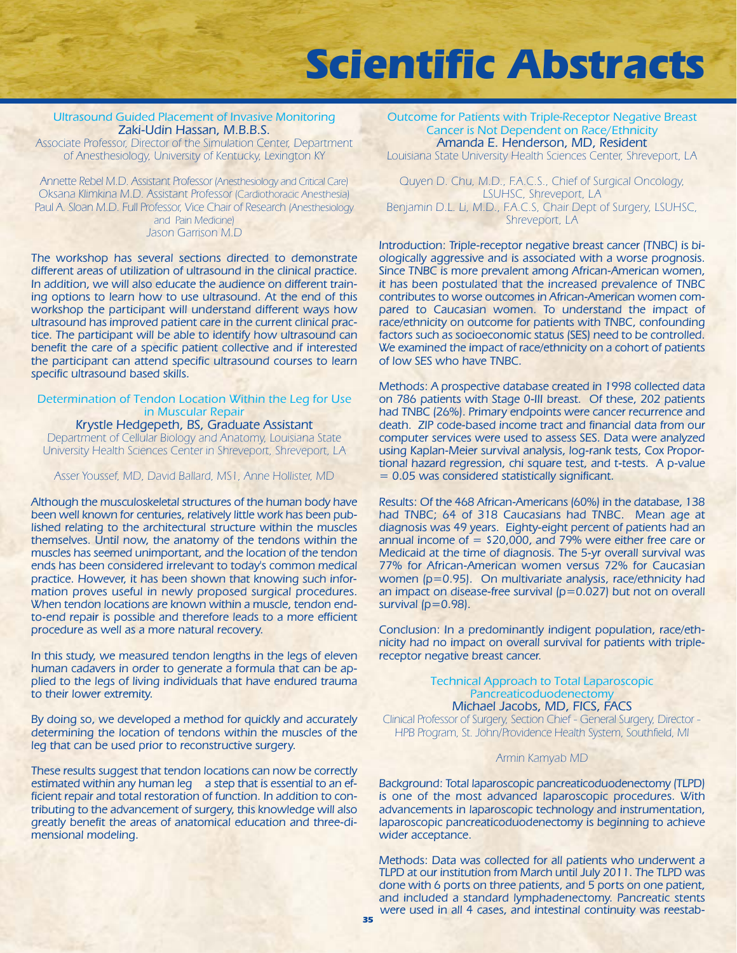### Ultrasound Guided Placement of Invasive Monitoring Zaki-Udin Hassan, M.B.B.S.

Associate Professor, Director of the Simulation Center, Department of Anesthesiology, University of Kentucky, Lexington KY

Annette Rebel M.D. Assistant Professor (Anesthesiology and Critical Care) Oksana Klimkina M.D. Assistant Professor (Cardiothoracic Anesthesia) Paul A. Sloan M.D. Full Professor, Vice Chair of Research (Anesthesiology and Pain Medicine) Jason Garrison M.D

The workshop has several sections directed to demonstrate different areas of utilization of ultrasound in the clinical practice. In addition, we will also educate the audience on different training options to learn how to use ultrasound. At the end of this workshop the participant will understand different ways how ultrasound has improved patient care in the current clinical practice. The participant will be able to identify how ultrasound can benefit the care of a specific patient collective and if interested the participant can attend specific ultrasound courses to learn specific ultrasound based skills.

#### Determination of Tendon Location Within the Leg for Use in Muscular Repair

Krystle Hedgepeth, BS, Graduate Assistant Department of Cellular Biology and Anatomy, Louisiana State University Health Sciences Center in Shreveport, Shreveport, LA

Asser Youssef, MD, David Ballard, MS1, Anne Hollister, MD

Although the musculoskeletal structures of the human body have been well known for centuries, relatively little work has been published relating to the architectural structure within the muscles themselves. Until now, the anatomy of the tendons within the muscles has seemed unimportant, and the location of the tendon ends has been considered irrelevant to today's common medical practice. However, it has been shown that knowing such information proves useful in newly proposed surgical procedures. When tendon locations are known within a muscle, tendon endto-end repair is possible and therefore leads to a more efficient procedure as well as a more natural recovery.

In this study, we measured tendon lengths in the legs of eleven human cadavers in order to generate a formula that can be applied to the legs of living individuals that have endured trauma to their lower extremity.

By doing so, we developed a method for quickly and accurately determining the location of tendons within the muscles of the leg that can be used prior to reconstructive surgery.

These results suggest that tendon locations can now be correctly estimated within any human leg a step that is essential to an efficient repair and total restoration of function. In addition to contributing to the advancement of surgery, this knowledge will also greatly benefit the areas of anatomical education and three-dimensional modeling.

Outcome for Patients with Triple-Receptor Negative Breast Cancer is Not Dependent on Race/Ethnicity Amanda E. Henderson, MD, Resident

Louisiana State University Health Sciences Center, Shreveport, LA

Quyen D. Chu, M.D., F.A.C.S., Chief of Surgical Oncology, LSUHSC, Shreveport, LA Benjamin D.L. Li, M.D., F.A.C.S, Chair Dept of Surgery, LSUHSC, Shreveport, LA

Introduction: Triple-receptor negative breast cancer (TNBC) is biologically aggressive and is associated with a worse prognosis. Since TNBC is more prevalent among African-American women, it has been postulated that the increased prevalence of TNBC contributes to worse outcomes in African-American women compared to Caucasian women. To understand the impact of race/ethnicity on outcome for patients with TNBC, confounding factors such as socioeconomic status (SES) need to be controlled. We examined the impact of race/ethnicity on a cohort of patients of low SES who have TNBC.

Methods: A prospective database created in 1998 collected data on 786 patients with Stage 0-III breast. Of these, 202 patients had TNBC (26%). Primary endpoints were cancer recurrence and death. ZIP code-based income tract and financial data from our computer services were used to assess SES. Data were analyzed using Kaplan-Meier survival analysis, log-rank tests, Cox Proportional hazard regression, chi square test, and t-tests. A p-value = 0.05 was considered statistically significant.

Results: Of the 468 African-Americans (60%) in the database, 138 had TNBC; 64 of 318 Caucasians had TNBC. Mean age at diagnosis was 49 years. Eighty-eight percent of patients had an annual income of  $=$  \$20,000, and 79% were either free care or Medicaid at the time of diagnosis. The 5-yr overall survival was 77% for African-American women versus 72% for Caucasian women (p=0.95). On multivariate analysis, race/ethnicity had an impact on disease-free survival (p=0.027) but not on overall survival (p=0.98).

Conclusion: In a predominantly indigent population, race/ethnicity had no impact on overall survival for patients with triplereceptor negative breast cancer.

#### Technical Approach to Total Laparoscopic Pancreaticoduodenectomy Michael Jacobs, MD, FICS, FACS

Clinical Professor of Surgery, Section Chief - General Surgery, Director - HPB Program, St. John/Providence Health System, Southfield, MI

#### Armin Kamyab MD

Background: Total laparoscopic pancreaticoduodenectomy (TLPD) is one of the most advanced laparoscopic procedures. With advancements in laparoscopic technology and instrumentation, laparoscopic pancreaticoduodenectomy is beginning to achieve wider acceptance.

Methods: Data was collected for all patients who underwent a TLPD at our institution from March until July 2011. The TLPD was done with 6 ports on three patients, and 5 ports on one patient, and included a standard lymphadenectomy. Pancreatic stents were used in all 4 cases, and intestinal continuity was reestab-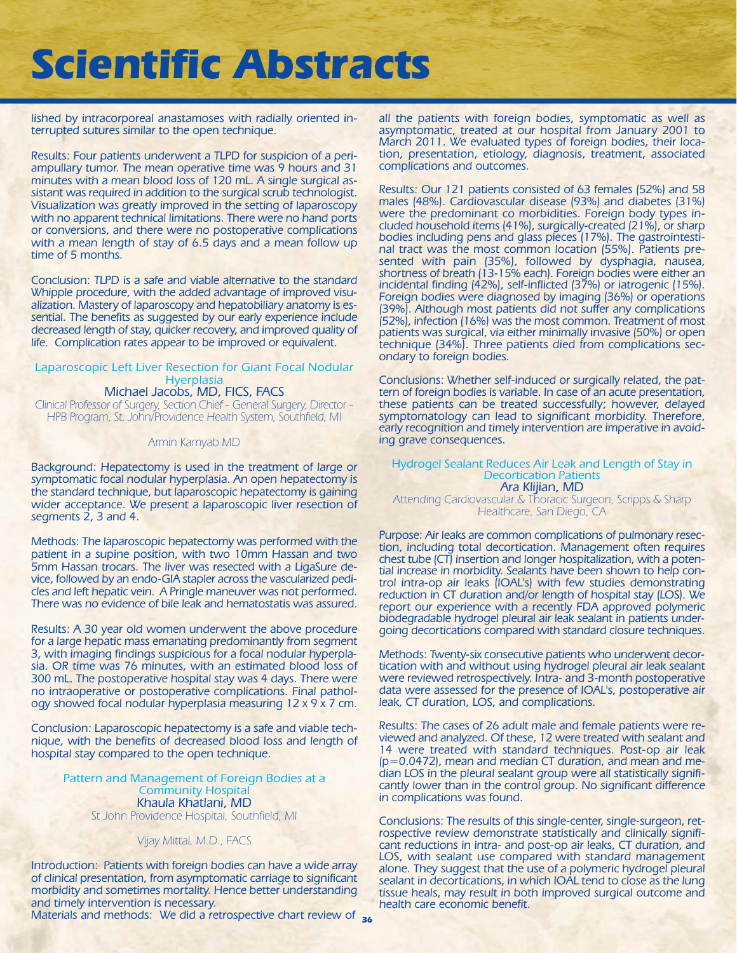lished by intracorporeal anastamoses with radially oriented interrupted sutures similar to the open technique.

Results: Four patients underwent a TLPD for suspicion of a periampullary tumor. The mean operative time was 9 hours and 31 minutes with a mean blood loss of 120 mL. A single surgical assistant was required in addition to the surgical scrub technologist. Visualization was greatly improved in the setting of laparoscopy with no apparent technical limitations. There were no hand ports or conversions, and there were no postoperative complications with a mean length of stay of 6.5 days and a mean follow up time of 5 months.

Conclusion: TLPD is a safe and viable alternative to the standard Whipple procedure, with the added advantage of improved visualization. Mastery of laparoscopy and hepatobiliary anatomy is essential. The benefits as suggested by our early experience include decreased length of stay, quicker recovery, and improved quality of life. Complication rates appear to be improved or equivalent.

### Laparoscopic Left Liver Resection for Giant Focal Nodular **Hyerplasia**

Michael Jacobs, MD, FICS, FACS Clinical Professor of Surgery, Section Chief - General Surgery, Director - HPB Program, St. John/Providence Health System, Southfield, MI

#### Armin Kamyab MD

Background: Hepatectomy is used in the treatment of large or symptomatic focal nodular hyperplasia. An open hepatectomy is the standard technique, but laparoscopic hepatectomy is gaining wider acceptance. We present a laparoscopic liver resection of segments 2, 3 and 4.

Methods: The laparoscopic hepatectomy was performed with the patient in a supine position, with two 10mm Hassan and two 5mm Hassan trocars. The liver was resected with a LigaSure device, followed by an endo-GIA stapler across the vascularized pedicles and left hepatic vein. A Pringle maneuver was not performed. There was no evidence of bile leak and hematostatis was assured.

Results: A 30 year old women underwent the above procedure for a large hepatic mass emanating predominantly from segment 3, with imaging findings suspicious for a focal nodular hyperplasia. OR time was 76 minutes, with an estimated blood loss of 300 mL. The postoperative hospital stay was 4 days. There were no intraoperative or postoperative complications. Final pathology showed focal nodular hyperplasia measuring 12 x 9 x 7 cm.

Conclusion: Laparoscopic hepatectomy is a safe and viable technique, with the benefits of decreased blood loss and length of hospital stay compared to the open technique.

#### Pattern and Management of Foreign Bodies at a Community Hospital Khaula Khatlani, MD St John Providence Hospital, Southfield, MI

#### Vijay Mittal, M.D., FACS

Introduction: Patients with foreign bodies can have a wide array of clinical presentation, from asymptomatic carriage to significant morbidity and sometimes mortality. Hence better understanding and timely intervention is necessary.

Materials and methods: We did a retrospective chart review of **36**

all the patients with foreign bodies, symptomatic as well as asymptomatic, treated at our hospital from January 2001 to March 2011. We evaluated types of foreign bodies, their location, presentation, etiology, diagnosis, treatment, associated complications and outcomes.

Results: Our 121 patients consisted of 63 females (52%) and 58 males (48%). Cardiovascular disease (93%) and diabetes (31%) were the predominant co morbidities. Foreign body types included household items (41%), surgically-created (21%), or sharp bodies including pens and glass pieces (17%). The gastrointestinal tract was the most common location (55%). Patients presented with pain (35%), followed by dysphagia, nausea, shortness of breath (13-15% each). Foreign bodies were either an incidental finding (42%), self-inflicted (37%) or iatrogenic (15%). Foreign bodies were diagnosed by imaging (36%) or operations (39%). Although most patients did not suffer any complications (52%), infection (16%) was the most common. Treatment of most patients was surgical, via either minimally invasive (50%) or open technique (34%). Three patients died from complications secondary to foreign bodies.

Conclusions: Whether self-induced or surgically related, the pattern of foreign bodies is variable. In case of an acute presentation, these patients can be treated successfully; however, delayed symptomatology can lead to significant morbidity. Therefore, early recognition and timely intervention are imperative in avoiding grave consequences.

#### Hydrogel Sealant Reduces Air Leak and Length of Stay in Decortication Patients Ara Klijian, MD

Attending Cardiovascular & Thoracic Surgeon, Scripps & Sharp Healthcare, San Diego, CA

Purpose: Air leaks are common complications of pulmonary resection, including total decortication. Management often requires chest tube (CT) insertion and longer hospitalization, with a potential increase in morbidity. Sealants have been shown to help control intra-op air leaks (IOAL's) with few studies demonstrating reduction in CT duration and/or length of hospital stay (LOS). We report our experience with a recently FDA approved polymeric biodegradable hydrogel pleural air leak sealant in patients undergoing decortications compared with standard closure techniques.

Methods: Twenty-six consecutive patients who underwent decortication with and without using hydrogel pleural air leak sealant were reviewed retrospectively. Intra- and 3-month postoperative data were assessed for the presence of IOAL's, postoperative air leak, CT duration, LOS, and complications.

Results: The cases of 26 adult male and female patients were reviewed and analyzed. Of these, 12 were treated with sealant and 14 were treated with standard techniques. Post-op air leak  $(p=0.0472)$ , mean and median CT duration, and mean and median LOS in the pleural sealant group were all statistically significantly lower than in the control group. No significant difference in complications was found.

Conclusions: The results of this single-center, single-surgeon, retrospective review demonstrate statistically and clinically significant reductions in intra- and post-op air leaks, CT duration, and LOS, with sealant use compared with standard management alone. They suggest that the use of a polymeric hydrogel pleural sealant in decortications, in which IOAL tend to close as the lung tissue heals, may result in both improved surgical outcome and health care economic benefit.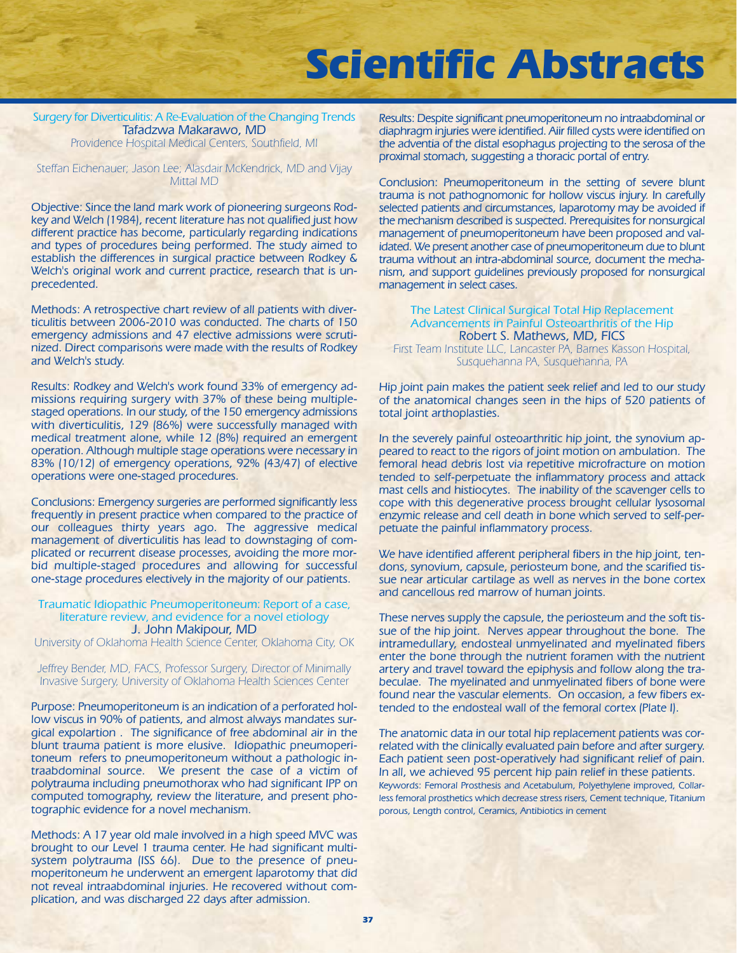#### Surgery for Diverticulitis: A Re-Evaluation of the Changing Trends Tafadzwa Makarawo, MD Providence Hospital Medical Centers, Southfield, MI

Steffan Eichenauer; Jason Lee; Alasdair McKendrick, MD and Vijay Mittal MD

Objective: Since the land mark work of pioneering surgeons Rodkey and Welch (1984), recent literature has not qualified just how different practice has become, particularly regarding indications and types of procedures being performed. The study aimed to establish the differences in surgical practice between Rodkey & Welch's original work and current practice, research that is unprecedented.

Methods: A retrospective chart review of all patients with diverticulitis between 2006-2010 was conducted. The charts of 150 emergency admissions and 47 elective admissions were scrutinized. Direct comparisons were made with the results of Rodkey and Welch's study.

Results: Rodkey and Welch's work found 33% of emergency admissions requiring surgery with 37% of these being multiplestaged operations. In our study, of the 150 emergency admissions with diverticulitis, 129 (86%) were successfully managed with medical treatment alone, while 12 (8%) required an emergent operation. Although multiple stage operations were necessary in 83% (10/12) of emergency operations, 92% (43/47) of elective operations were one-staged procedures.

Conclusions: Emergency surgeries are performed significantly less frequently in present practice when compared to the practice of our colleagues thirty years ago. The aggressive medical management of diverticulitis has lead to downstaging of complicated or recurrent disease processes, avoiding the more morbid multiple-staged procedures and allowing for successful one-stage procedures electively in the majority of our patients.

#### Traumatic Idiopathic Pneumoperitoneum: Report of a case, literature review, and evidence for a novel etiology J. John Makipour, MD

University of Oklahoma Health Science Center, Oklahoma City, OK

Jeffrey Bender, MD, FACS, Professor Surgery, Director of Minimally Invasive Surgery, University of Oklahoma Health Sciences Center

Purpose: Pneumoperitoneum is an indication of a perforated hollow viscus in 90% of patients, and almost always mandates surgical expolartion . The significance of free abdominal air in the blunt trauma patient is more elusive. Idiopathic pneumoperitoneum refers to pneumoperitoneum without a pathologic intraabdominal source. We present the case of a victim of polytrauma including pneumothorax who had significant IPP on computed tomography, review the literature, and present photographic evidence for a novel mechanism.

Methods: A 17 year old male involved in a high speed MVC was brought to our Level 1 trauma center. He had significant multisystem polytrauma (ISS 66). Due to the presence of pneumoperitoneum he underwent an emergent laparotomy that did not reveal intraabdominal injuries. He recovered without complication, and was discharged 22 days after admission.

Results: Despite significant pneumoperitoneum no intraabdominal or diaphragm injuries were identified. Aiir filled cysts were identified on the adventia of the distal esophagus projecting to the serosa of the proximal stomach, suggesting a thoracic portal of entry.

Conclusion: Pneumoperitoneum in the setting of severe blunt trauma is not pathognomonic for hollow viscus injury. In carefully selected patients and circumstances, laparotomy may be avoided if the mechanism described is suspected. Prerequisites for nonsurgical management of pneumoperitoneum have been proposed and validated. We present another case of pneumoperitoneum due to blunt trauma without an intra-abdominal source, document the mechanism, and support guidelines previously proposed for nonsurgical management in select cases.

The Latest Clinical Surgical Total Hip Replacement Advancements in Painful Osteoarthritis of the Hip Robert S. Mathews, MD, FICS

First Team Institute LLC, Lancaster PA, Barnes Kasson Hospital, Susquehanna PA, Susquehanna, PA

Hip joint pain makes the patient seek relief and led to our study of the anatomical changes seen in the hips of 520 patients of total joint arthoplasties.

In the severely painful osteoarthritic hip joint, the synovium appeared to react to the rigors of joint motion on ambulation. The femoral head debris lost via repetitive microfracture on motion tended to self-perpetuate the inflammatory process and attack mast cells and histiocytes. The inability of the scavenger cells to cope with this degenerative process brought cellular lysosomal enzymic release and cell death in bone which served to self-perpetuate the painful inflammatory process.

We have identified afferent peripheral fibers in the hip joint, tendons, synovium, capsule, periosteum bone, and the scarified tissue near articular cartilage as well as nerves in the bone cortex and cancellous red marrow of human joints.

These nerves supply the capsule, the periosteum and the soft tissue of the hip joint. Nerves appear throughout the bone. The intramedullary, endosteal unmyelinated and myelinated fibers enter the bone through the nutrient foramen with the nutrient artery and travel toward the epiphysis and follow along the trabeculae. The myelinated and unmyelinated fibers of bone were found near the vascular elements. On occasion, a few fibers extended to the endosteal wall of the femoral cortex (Plate I).

The anatomic data in our total hip replacement patients was correlated with the clinically evaluated pain before and after surgery. Each patient seen post-operatively had significant relief of pain. In all, we achieved 95 percent hip pain relief in these patients. Keywords: Femoral Prosthesis and Acetabulum, Polyethylene improved, Collarless femoral prosthetics which decrease stress risers, Cement technique, Titanium porous, Length control, Ceramics, Antibiotics in cement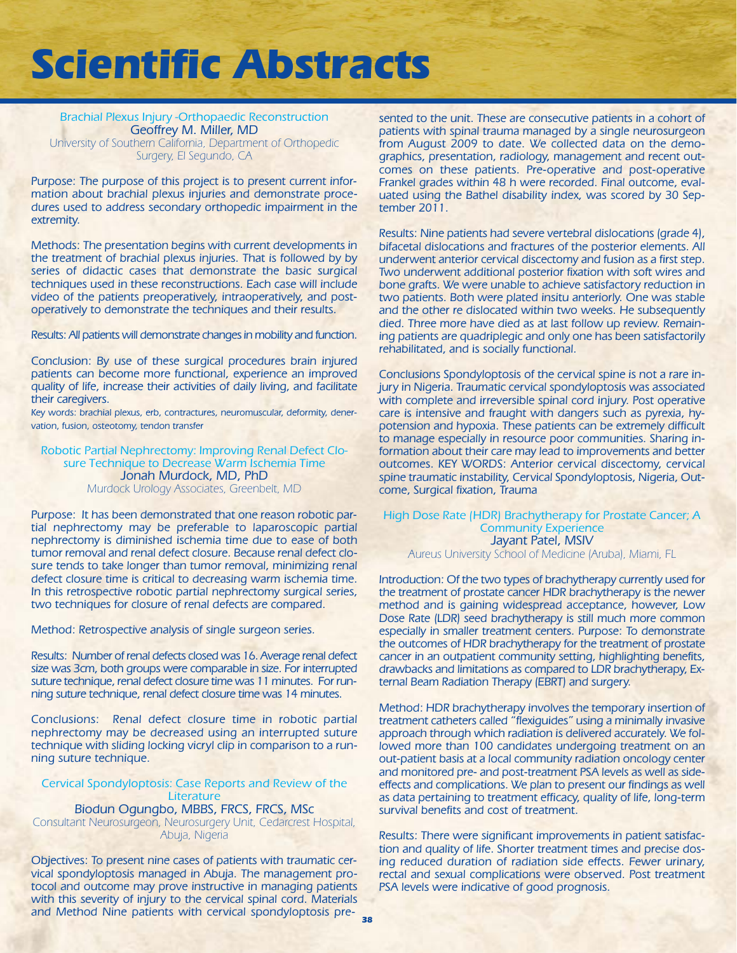Brachial Plexus Injury -Orthopaedic Reconstruction Geoffrey M. Miller, MD University of Southern California, Department of Orthopedic Surgery, El Segundo, CA

Purpose: The purpose of this project is to present current information about brachial plexus injuries and demonstrate procedures used to address secondary orthopedic impairment in the extremity.

Methods: The presentation begins with current developments in the treatment of brachial plexus injuries. That is followed by by series of didactic cases that demonstrate the basic surgical techniques used in these reconstructions. Each case will include video of the patients preoperatively, intraoperatively, and postoperatively to demonstrate the techniques and their results.

Results: All patients will demonstrate changes in mobility and function.

Conclusion: By use of these surgical procedures brain injured patients can become more functional, experience an improved quality of life, increase their activities of daily living, and facilitate their caregivers.

Key words: brachial plexus, erb, contractures, neuromuscular, deformity, denervation, fusion, osteotomy, tendon transfer

Robotic Partial Nephrectomy: Improving Renal Defect Closure Technique to Decrease Warm Ischemia Time Jonah Murdock, MD, PhD Murdock Urology Associates, Greenbelt, MD

Purpose: It has been demonstrated that one reason robotic partial nephrectomy may be preferable to laparoscopic partial nephrectomy is diminished ischemia time due to ease of both tumor removal and renal defect closure. Because renal defect closure tends to take longer than tumor removal, minimizing renal defect closure time is critical to decreasing warm ischemia time. In this retrospective robotic partial nephrectomy surgical series, two techniques for closure of renal defects are compared.

Method: Retrospective analysis of single surgeon series.

Results: Number of renal defects closed was 16. Average renal defect size was 3cm, both groups were comparable in size. For interrupted suture technique, renal defect closure time was 11 minutes. For running suture technique, renal defect closure time was 14 minutes.

Conclusions: Renal defect closure time in robotic partial nephrectomy may be decreased using an interrupted suture technique with sliding locking vicryl clip in comparison to a running suture technique.

### Cervical Spondyloptosis: Case Reports and Review of the **Literature**

Biodun Ogungbo, MBBS, FRCS, FRCS, MSc

Consultant Neurosurgeon, Neurosurgery Unit, Cedarcrest Hospital, Abuja, Nigeria

Objectives: To present nine cases of patients with traumatic cervical spondyloptosis managed in Abuja. The management protocol and outcome may prove instructive in managing patients with this severity of injury to the cervical spinal cord. Materials and Method Nine patients with cervical spondyloptosis presented to the unit. These are consecutive patients in a cohort of patients with spinal trauma managed by a single neurosurgeon from August 2009 to date. We collected data on the demographics, presentation, radiology, management and recent outcomes on these patients. Pre-operative and post-operative Frankel grades within 48 h were recorded. Final outcome, evaluated using the Bathel disability index, was scored by 30 September 2011.

Results: Nine patients had severe vertebral dislocations (grade 4), bifacetal dislocations and fractures of the posterior elements. All underwent anterior cervical discectomy and fusion as a first step. Two underwent additional posterior fixation with soft wires and bone grafts. We were unable to achieve satisfactory reduction in two patients. Both were plated insitu anteriorly. One was stable and the other re dislocated within two weeks. He subsequently died. Three more have died as at last follow up review. Remaining patients are quadriplegic and only one has been satisfactorily rehabilitated, and is socially functional.

Conclusions Spondyloptosis of the cervical spine is not a rare injury in Nigeria. Traumatic cervical spondyloptosis was associated with complete and irreversible spinal cord injury. Post operative care is intensive and fraught with dangers such as pyrexia, hypotension and hypoxia. These patients can be extremely difficult to manage especially in resource poor communities. Sharing information about their care may lead to improvements and better outcomes. KEY WORDS: Anterior cervical discectomy, cervical spine traumatic instability, Cervical Spondyloptosis, Nigeria, Outcome, Surgical fixation, Trauma

### High Dose Rate (HDR) Brachytherapy for Prostate Cancer; A Community Experience Jayant Patel, MSIV

Aureus University School of Medicine (Aruba), Miami, FL

Introduction: Of the two types of brachytherapy currently used for the treatment of prostate cancer HDR brachytherapy is the newer method and is gaining widespread acceptance, however, Low Dose Rate (LDR) seed brachytherapy is still much more common especially in smaller treatment centers. Purpose: To demonstrate the outcomes of HDR brachytherapy for the treatment of prostate cancer in an outpatient community setting, highlighting benefits, drawbacks and limitations as compared to LDR brachytherapy, External Beam Radiation Therapy (EBRT) and surgery.

Method: HDR brachytherapy involves the temporary insertion of treatment catheters called "flexiguides" using a minimally invasive approach through which radiation is delivered accurately. We followed more than 100 candidates undergoing treatment on an out-patient basis at a local community radiation oncology center and monitored pre- and post-treatment PSA levels as well as sideeffects and complications. We plan to present our findings as well as data pertaining to treatment efficacy, quality of life, long-term survival benefits and cost of treatment.

Results: There were significant improvements in patient satisfaction and quality of life. Shorter treatment times and precise dosing reduced duration of radiation side effects. Fewer urinary, rectal and sexual complications were observed. Post treatment PSA levels were indicative of good prognosis.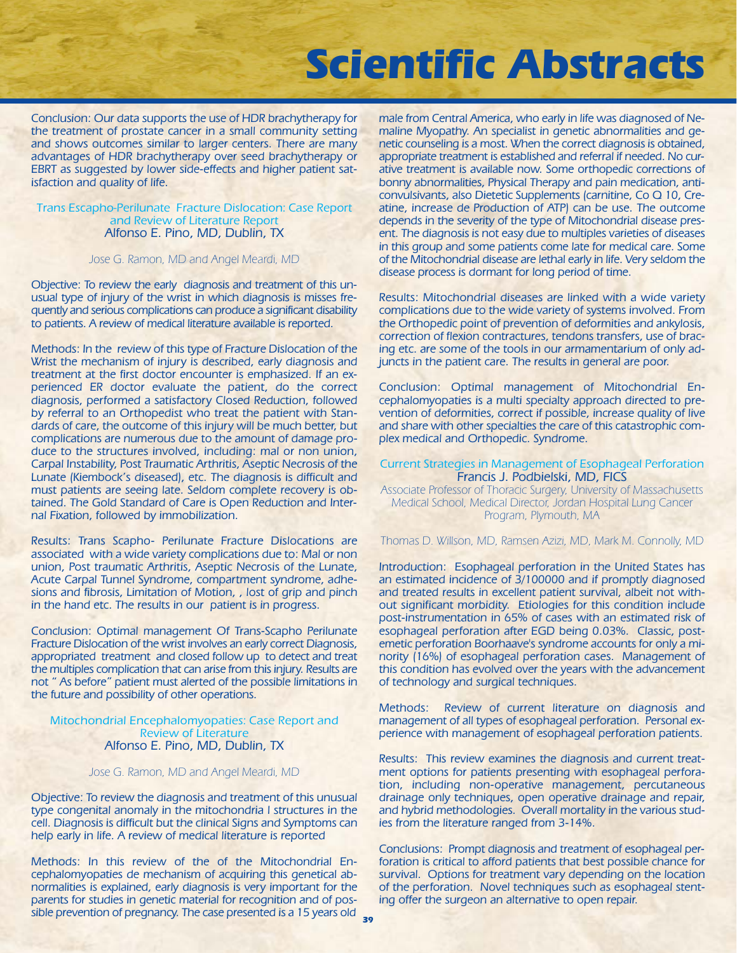Conclusion: Our data supports the use of HDR brachytherapy for the treatment of prostate cancer in a small community setting and shows outcomes similar to larger centers. There are many advantages of HDR brachytherapy over seed brachytherapy or EBRT as suggested by lower side-effects and higher patient satisfaction and quality of life.

#### Trans Escapho-Perilunate Fracture Dislocation: Case Report and Review of Literature Report Alfonso E. Pino, MD, Dublin, TX

#### Jose G. Ramon, MD and Angel Meardi, MD

Objective: To review the early diagnosis and treatment of this unusual type of injury of the wrist in which diagnosis is misses frequently and serious complications can produce a significant disability to patients. A review of medical literature available is reported.

Methods: In the review of this type of Fracture Dislocation of the Wrist the mechanism of injury is described, early diagnosis and treatment at the first doctor encounter is emphasized. If an experienced ER doctor evaluate the patient, do the correct diagnosis, performed a satisfactory Closed Reduction, followed by referral to an Orthopedist who treat the patient with Standards of care, the outcome of this injury will be much better, but complications are numerous due to the amount of damage produce to the structures involved, including: mal or non union, Carpal Instability, Post Traumatic Arthritis, Aseptic Necrosis of the Lunate (Kiembock's diseased), etc. The diagnosis is difficult and must patients are seeing late. Seldom complete recovery is obtained. The Gold Standard of Care is Open Reduction and Internal Fixation, followed by immobilization.

Results: Trans Scapho- Perilunate Fracture Dislocations are associated with a wide variety complications due to: Mal or non union, Post traumatic Arthritis, Aseptic Necrosis of the Lunate, Acute Carpal Tunnel Syndrome, compartment syndrome, adhesions and fibrosis, Limitation of Motion, , lost of grip and pinch in the hand etc. The results in our patient is in progress.

Conclusion: Optimal management Of Trans-Scapho Perilunate Fracture Dislocation of the wrist involves an early correct Diagnosis, appropriated treatment and closed follow up to detect and treat the multiples complication that can arise from this injury. Results are not " As before" patient must alerted of the possible limitations in the future and possibility of other operations.

Mitochondrial Encephalomyopaties: Case Report and Review of Literature Alfonso E. Pino, MD, Dublin, TX

#### Jose G. Ramon, MD and Angel Meardi, MD

Objective: To review the diagnosis and treatment of this unusual type congenital anomaly in the mitochondria l structures in the cell. Diagnosis is difficult but the clinical Signs and Symptoms can help early in life. A review of medical literature is reported

Methods: In this review of the of the Mitochondrial Encephalomyopaties de mechanism of acquiring this genetical abnormalities is explained, early diagnosis is very important for the parents for studies in genetic material for recognition and of possible prevention of pregnancy. The case presented is a 15 years old male from Central America, who early in life was diagnosed of Nemaline Myopathy. An specialist in genetic abnormalities and genetic counseling is a most. When the correct diagnosis is obtained, appropriate treatment is established and referral if needed. No curative treatment is available now. Some orthopedic corrections of bonny abnormalities, Physical Therapy and pain medication, anticonvulsivants, also Dietetic Supplements (carnitine, Co Q 10, Creatine, increase de Production of ATP) can be use. The outcome depends in the severity of the type of Mitochondrial disease present. The diagnosis is not easy due to multiples varieties of diseases in this group and some patients come late for medical care. Some of the Mitochondrial disease are lethal early in life. Very seldom the disease process is dormant for long period of time.

Results: Mitochondrial diseases are linked with a wide variety complications due to the wide variety of systems involved. From the Orthopedic point of prevention of deformities and ankylosis, correction of flexion contractures, tendons transfers, use of bracing etc. are some of the tools in our armamentarium of only adjuncts in the patient care. The results in general are poor.

Conclusion: Optimal management of Mitochondrial Encephalomyopaties is a multi specialty approach directed to prevention of deformities, correct if possible, increase quality of live and share with other specialties the care of this catastrophic complex medical and Orthopedic. Syndrome.

#### Current Strategies in Management of Esophageal Perforation Francis J. Podbielski, MD, FICS

Associate Professor of Thoracic Surgery, University of Massachusetts Medical School, Medical Director, Jordan Hospital Lung Cancer Program, Plymouth, MA

Thomas D. Willson, MD, Ramsen Azizi, MD, Mark M. Connolly, MD

Introduction: Esophageal perforation in the United States has an estimated incidence of 3/100000 and if promptly diagnosed and treated results in excellent patient survival, albeit not without significant morbidity. Etiologies for this condition include post-instrumentation in 65% of cases with an estimated risk of esophageal perforation after EGD being 0.03%. Classic, postemetic perforation Boorhaave's syndrome accounts for only a minority (16%) of esophageal perforation cases. Management of this condition has evolved over the years with the advancement of technology and surgical techniques.

Methods: Review of current literature on diagnosis and management of all types of esophageal perforation. Personal experience with management of esophageal perforation patients.

Results: This review examines the diagnosis and current treatment options for patients presenting with esophageal perforation, including non-operative management, percutaneous drainage only techniques, open operative drainage and repair, and hybrid methodologies. Overall mortality in the various studies from the literature ranged from 3-14%.

Conclusions: Prompt diagnosis and treatment of esophageal perforation is critical to afford patients that best possible chance for survival. Options for treatment vary depending on the location of the perforation. Novel techniques such as esophageal stenting offer the surgeon an alternative to open repair.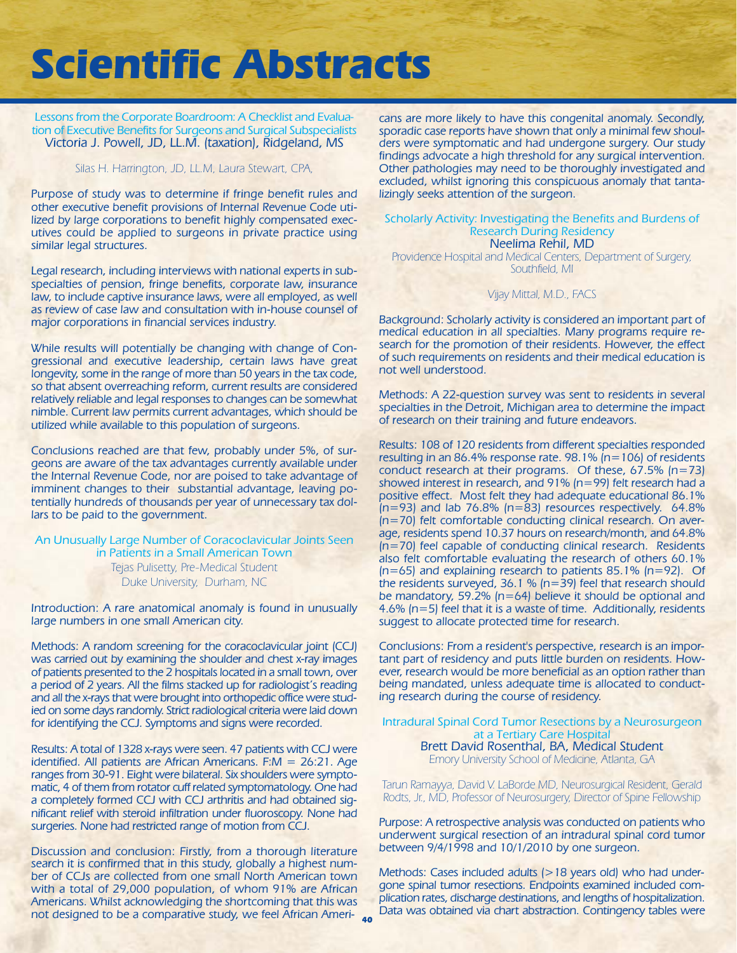Lessons from the Corporate Boardroom: A Checklist and Evaluation of Executive Benefits for Surgeons and Surgical Subspecialists Victoria J. Powell, JD, LL.M. (taxation), Ridgeland, MS

#### Silas H. Harrington, JD, LL.M, Laura Stewart, CPA,

Purpose of study was to determine if fringe benefit rules and other executive benefit provisions of Internal Revenue Code utilized by large corporations to benefit highly compensated executives could be applied to surgeons in private practice using similar legal structures.

Legal research, including interviews with national experts in subspecialties of pension, fringe benefits, corporate law, insurance law, to include captive insurance laws, were all employed, as well as review of case law and consultation with in-house counsel of major corporations in financial services industry.

While results will potentially be changing with change of Congressional and executive leadership, certain laws have great longevity, some in the range of more than 50 years in the tax code, so that absent overreaching reform, current results are considered relatively reliable and legal responses to changes can be somewhat nimble. Current law permits current advantages, which should be utilized while available to this population of surgeons.

Conclusions reached are that few, probably under 5%, of surgeons are aware of the tax advantages currently available under the Internal Revenue Code, nor are poised to take advantage of imminent changes to their substantial advantage, leaving potentially hundreds of thousands per year of unnecessary tax dollars to be paid to the government.

### An Unusually Large Number of Coracoclavicular Joints Seen in Patients in a Small American Town Tejas Pulisetty, Pre-Medical Student

Duke University, Durham, NC

Introduction: A rare anatomical anomaly is found in unusually large numbers in one small American city.

Methods: A random screening for the coracoclavicular joint (CCJ) was carried out by examining the shoulder and chest x-ray images of patients presented to the 2 hospitals located in a small town, over a period of 2 years. All the films stacked up for radiologist's reading and all the x-rays that were brought into orthopedic office were studied on some days randomly. Strict radiological criteria were laid down for identifying the CCJ. Symptoms and signs were recorded.

Results: A total of 1328 x-rays were seen. 47 patients with CCJ were identified. All patients are African Americans. F:M = 26:21. Age ranges from 30-91. Eight were bilateral. Six shoulders were symptomatic, 4 of them from rotator cuff related symptomatology. One had a completely formed CCJ with CCJ arthritis and had obtained significant relief with steroid infiltration under fluoroscopy. None had surgeries. None had restricted range of motion from CCJ.

Discussion and conclusion: Firstly, from a thorough literature search it is confirmed that in this study, globally a highest number of CCJs are collected from one small North American town with a total of 29,000 population, of whom 91% are African Americans. Whilst acknowledging the shortcoming that this was not designed to be a comparative study, we feel African Ameri-

**40**

cans are more likely to have this congenital anomaly. Secondly, sporadic case reports have shown that only a minimal few shoulders were symptomatic and had undergone surgery. Our study findings advocate a high threshold for any surgical intervention. Other pathologies may need to be thoroughly investigated and excluded, whilst ignoring this conspicuous anomaly that tantalizingly seeks attention of the surgeon.

#### Scholarly Activity: Investigating the Benefits and Burdens of Research During Residency Neelima Rehil, MD

Providence Hospital and Medical Centers, Department of Surgery, Southfield, MI

#### Vijay Mittal, M.D., FACS

Background: Scholarly activity is considered an important part of medical education in all specialties. Many programs require research for the promotion of their residents. However, the effect of such requirements on residents and their medical education is not well understood.

Methods: A 22-question survey was sent to residents in several specialties in the Detroit, Michigan area to determine the impact of research on their training and future endeavors.

Results: 108 of 120 residents from different specialties responded resulting in an 86.4% response rate. 98.1% ( $n=106$ ) of residents conduct research at their programs. Of these, 67.5% (n=73) showed interest in research, and 91% (n=99) felt research had a positive effect. Most felt they had adequate educational 86.1%  $(n=93)$  and lab 76.8%  $(n=83)$  resources respectively. 64.8% (n=70) felt comfortable conducting clinical research. On average, residents spend 10.37 hours on research/month, and 64.8% (n=70) feel capable of conducting clinical research. Residents also felt comfortable evaluating the research of others 60.1%  $(n=65)$  and explaining research to patients 85.1%  $(n=92)$ . Of the residents surveyed, 36.1 %  $(n=39)$  feel that research should be mandatory, 59.2% (n=64) believe it should be optional and 4.6% (n=5) feel that it is a waste of time. Additionally, residents suggest to allocate protected time for research.

Conclusions: From a resident's perspective, research is an important part of residency and puts little burden on residents. However, research would be more beneficial as an option rather than being mandated, unless adequate time is allocated to conducting research during the course of residency.

Intradural Spinal Cord Tumor Resections by a Neurosurgeon at a Tertiary Care Hospital Brett David Rosenthal, BA, Medical Student Emory University School of Medicine, Atlanta, GA

Tarun Ramayya, David V. LaBorde MD, Neurosurgical Resident, Gerald Rodts, Jr., MD, Professor of Neurosurgery, Director of Spine Fellowship

Purpose: A retrospective analysis was conducted on patients who underwent surgical resection of an intradural spinal cord tumor between 9/4/1998 and 10/1/2010 by one surgeon.

Methods: Cases included adults (>18 years old) who had undergone spinal tumor resections. Endpoints examined included complication rates, discharge destinations, and lengths of hospitalization. Data was obtained via chart abstraction. Contingency tables were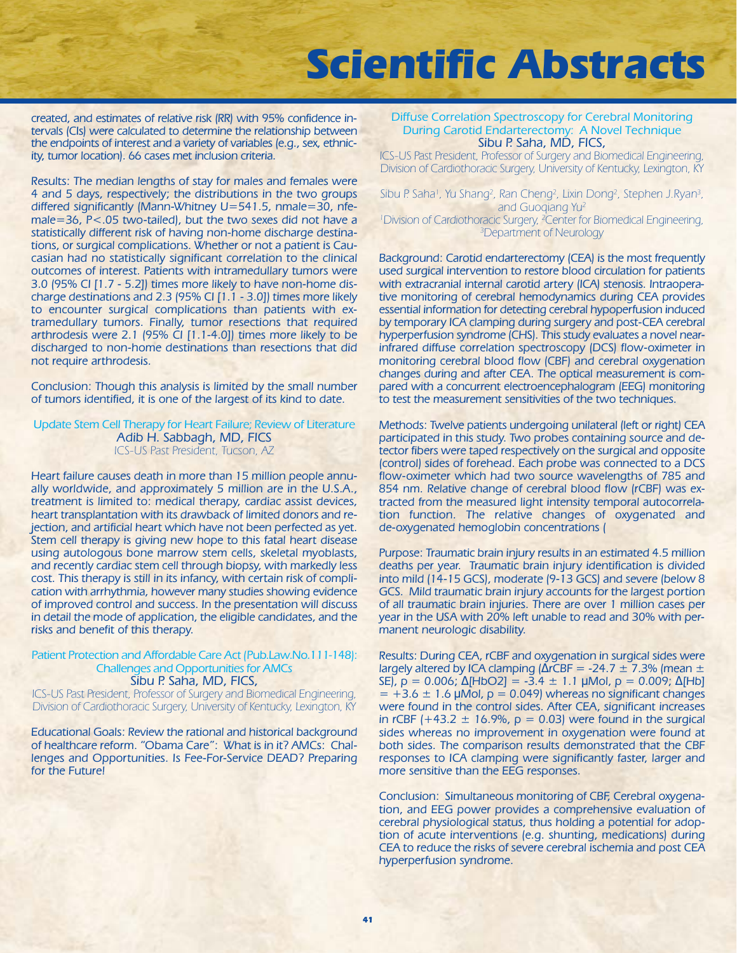created, and estimates of relative risk (RR) with 95% confidence intervals (CIs) were calculated to determine the relationship between the endpoints of interest and a variety of variables (e.g., sex, ethnicity, tumor location). 66 cases met inclusion criteria.

Results: The median lengths of stay for males and females were 4 and 5 days, respectively; the distributions in the two groups differed significantly (Mann-Whitney U=541.5, nmale=30, nfemale=36, P<.05 two-tailed), but the two sexes did not have a statistically different risk of having non-home discharge destinations, or surgical complications. Whether or not a patient is Caucasian had no statistically significant correlation to the clinical outcomes of interest. Patients with intramedullary tumors were 3.0 (95% CI [1.7 - 5.2]) times more likely to have non-home discharge destinations and 2.3 (95% CI [1.1 - 3.0]) times more likely to encounter surgical complications than patients with extramedullary tumors. Finally, tumor resections that required arthrodesis were 2.1 (95% CI [1.1-4.0]) times more likely to be discharged to non-home destinations than resections that did not require arthrodesis.

Conclusion: Though this analysis is limited by the small number of tumors identified, it is one of the largest of its kind to date.

Update Stem Cell Therapy for Heart Failure; Review of Literature Adib H. Sabbagh, MD, FICS ICS-US Past President, Tucson, AZ

Heart failure causes death in more than 15 million people annually worldwide, and approximately 5 million are in the U.S.A., treatment is limited to: medical therapy, cardiac assist devices, heart transplantation with its drawback of limited donors and rejection, and artificial heart which have not been perfected as yet. Stem cell therapy is giving new hope to this fatal heart disease using autologous bone marrow stem cells, skeletal myoblasts, and recently cardiac stem cell through biopsy, with markedly less cost. This therapy is still in its infancy, with certain risk of complication with arrhythmia, however many studies showing evidence of improved control and success. In the presentation will discuss in detail the mode of application, the eligible candidates, and the risks and benefit of this therapy.

#### Patient Protection and Affordable Care Act (Pub.Law.No.111-148): Challenges and Opportunities for AMCs Sibu P. Saha, MD, FICS,

ICS-US Past President, Professor of Surgery and Biomedical Engineering, Division of Cardiothoracic Surgery, University of Kentucky, Lexington, KY

Educational Goals: Review the rational and historical background of healthcare reform. "Obama Care": What is in it? AMCs: Challenges and Opportunities. Is Fee-For-Service DEAD? Preparing for the Future!

#### Diffuse Correlation Spectroscopy for Cerebral Monitoring During Carotid Endarterectomy: A Novel Technique Sibu P. Saha, MD, FICS,

ICS-US Past President, Professor of Surgery and Biomedical Engineering, Division of Cardiothoracic Surgery, University of Kentucky, Lexington, KY

Sibu P. Saha<sup>i</sup>, Yu Shang<sup>2</sup>, Ran Cheng<sup>2</sup>, Lixin Dong<sup>2</sup>, Stephen J.Ryan<sup>3</sup>, and Guogiang Yu<sup>2</sup> <sup>1</sup> Division of Cardiothoracic Surgery, <sup>2</sup> Center for Biomedical Engineering, 3 Department of Neurology

Background: Carotid endarterectomy (CEA) is the most frequently used surgical intervention to restore blood circulation for patients with extracranial internal carotid artery (ICA) stenosis. Intraoperative monitoring of cerebral hemodynamics during CEA provides essential information for detecting cerebral hypoperfusion induced by temporary ICA clamping during surgery and post-CEA cerebral hyperperfusion syndrome (CHS). This study evaluates a novel nearinfrared diffuse correlation spectroscopy (DCS) flow-oximeter in monitoring cerebral blood flow (CBF) and cerebral oxygenation changes during and after CEA. The optical measurement is compared with a concurrent electroencephalogram (EEG) monitoring to test the measurement sensitivities of the two techniques.

Methods: Twelve patients undergoing unilateral (left or right) CEA participated in this study. Two probes containing source and detector fibers were taped respectively on the surgical and opposite (control) sides of forehead. Each probe was connected to a DCS flow-oximeter which had two source wavelengths of 785 and 854 nm. Relative change of cerebral blood flow (rCBF) was extracted from the measured light intensity temporal autocorrelation function. The relative changes of oxygenated and de-oxygenated hemoglobin concentrations (

Purpose: Traumatic brain injury results in an estimated 4.5 million deaths per year. Traumatic brain injury identification is divided into mild (14-15 GCS), moderate (9-13 GCS) and severe (below 8 GCS. Mild traumatic brain injury accounts for the largest portion of all traumatic brain injuries. There are over 1 million cases per year in the USA with 20% left unable to read and 30% with permanent neurologic disability.

Results: During CEA, rCBF and oxygenation in surgical sides were largely altered by ICA clamping ( $\triangle$ rCBF = -24.7 ± 7.3% (mean ± SE),  $p = 0.006$ ; Δ[HbO2] = -3.4  $\pm$  1.1 μMol,  $p = 0.009$ ; Δ[Hb]  $= +3.6 \pm 1.6$  µMol,  $p = 0.049$  whereas no significant changes were found in the control sides. After CEA, significant increases in rCBF (+43.2  $\pm$  16.9%, p = 0.03) were found in the surgical sides whereas no improvement in oxygenation were found at both sides. The comparison results demonstrated that the CBF responses to ICA clamping were significantly faster, larger and more sensitive than the EEG responses.

Conclusion: Simultaneous monitoring of CBF, Cerebral oxygenation, and EEG power provides a comprehensive evaluation of cerebral physiological status, thus holding a potential for adoption of acute interventions (e.g. shunting, medications) during CEA to reduce the risks of severe cerebral ischemia and post CEA hyperperfusion syndrome.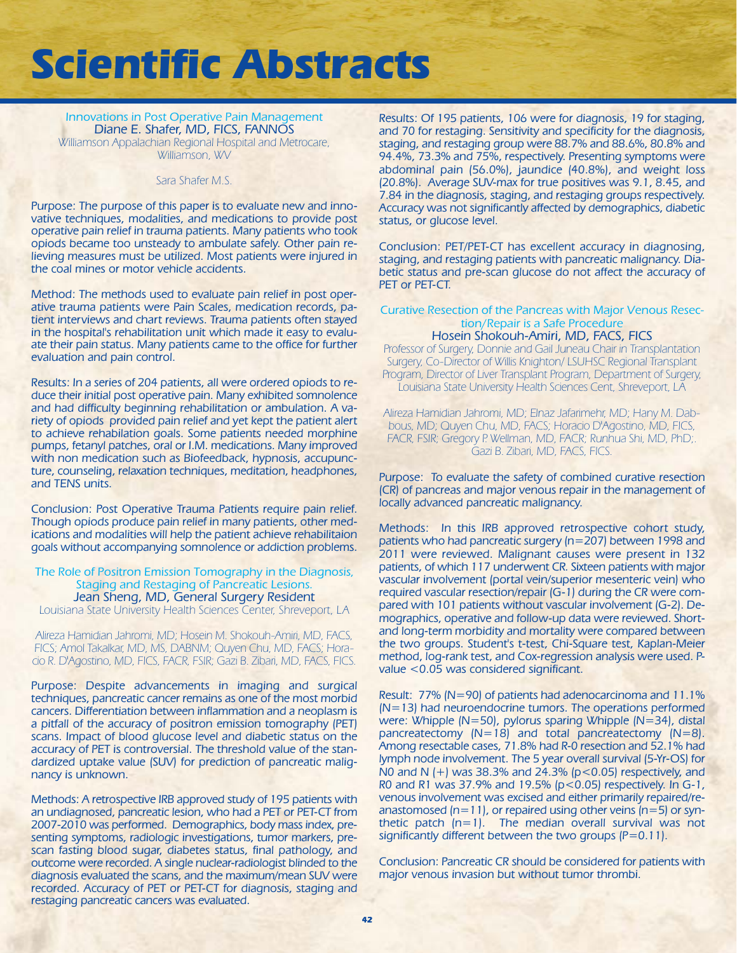Innovations in Post Operative Pain Management Diane E. Shafer, MD, FICS, FANNOS Williamson Appalachian Regional Hospital and Metrocare, Williamson, WV

#### Sara Shafer M.S.

Purpose: The purpose of this paper is to evaluate new and innovative techniques, modalities, and medications to provide post operative pain relief in trauma patients. Many patients who took opiods became too unsteady to ambulate safely. Other pain relieving measures must be utilized. Most patients were injured in the coal mines or motor vehicle accidents.

Method: The methods used to evaluate pain relief in post operative trauma patients were Pain Scales, medication records, patient interviews and chart reviews. Trauma patients often stayed in the hospital's rehabilitation unit which made it easy to evaluate their pain status. Many patients came to the office for further evaluation and pain control.

Results: In a series of 204 patients, all were ordered opiods to reduce their initial post operative pain. Many exhibited somnolence and had difficulty beginning rehabilitation or ambulation. A variety of opiods provided pain relief and yet kept the patient alert to achieve rehabilation goals. Some patients needed morphine pumps, fetanyl patches, oral or I.M. medications. Many improved with non medication such as Biofeedback, hypnosis, accupuncture, counseling, relaxation techniques, meditation, headphones, and TENS units.

Conclusion: Post Operative Trauma Patients require pain relief. Though opiods produce pain relief in many patients, other medications and modalities will help the patient achieve rehabilitaion goals without accompanying somnolence or addiction problems.

### The Role of Positron Emission Tomography in the Diagnosis, Staging and Restaging of Pancreatic Lesions. Jean Sheng, MD, General Surgery Resident

Louisiana State University Health Sciences Center, Shreveport, LA

Alireza Hamidian Jahromi, MD; Hosein M. Shokouh-Amiri, MD, FACS, FICS; Amol Takalkar, MD, MS, DABNM; Quyen Chu, MD, FACS; Horacio R. D'Agostino, MD, FICS, FACR, FSIR; Gazi B. Zibari, MD, FACS, FICS.

Purpose: Despite advancements in imaging and surgical techniques, pancreatic cancer remains as one of the most morbid cancers. Differentiation between inflammation and a neoplasm is a pitfall of the accuracy of positron emission tomography (PET) scans. Impact of blood glucose level and diabetic status on the accuracy of PET is controversial. The threshold value of the standardized uptake value (SUV) for prediction of pancreatic malignancy is unknown.

Methods: A retrospective IRB approved study of 195 patients with an undiagnosed, pancreatic lesion, who had a PET or PET-CT from 2007-2010 was performed. Demographics, body mass index, presenting symptoms, radiologic investigations, tumor markers, prescan fasting blood sugar, diabetes status, final pathology, and outcome were recorded. A single nuclear-radiologist blinded to the diagnosis evaluated the scans, and the maximum/mean SUV were recorded. Accuracy of PET or PET-CT for diagnosis, staging and restaging pancreatic cancers was evaluated.

Results: Of 195 patients, 106 were for diagnosis, 19 for staging, and 70 for restaging. Sensitivity and specificity for the diagnosis, staging, and restaging group were 88.7% and 88.6%, 80.8% and 94.4%, 73.3% and 75%, respectively. Presenting symptoms were abdominal pain (56.0%), jaundice (40.8%), and weight loss (20.8%). Average SUV-max for true positives was 9.1, 8.45, and 7.84 in the diagnosis, staging, and restaging groups respectively. Accuracy was not significantly affected by demographics, diabetic status, or glucose level.

Conclusion: PET/PET-CT has excellent accuracy in diagnosing, staging, and restaging patients with pancreatic malignancy. Diabetic status and pre-scan glucose do not affect the accuracy of PET or PET-CT.

#### Curative Resection of the Pancreas with Major Venous Resection/Repair is a Safe Procedure Hosein Shokouh-Amiri, MD, FACS, FICS

Professor of Surgery, Donnie and Gail Juneau Chair in Transplantation Surgery, Co-Director of Willis Knighton/ LSUHSC Regional Transplant Program, Director of Liver Transplant Program, Department of Surgery, Louisiana State University Health Sciences Cent, Shreveport, LA

Alireza Hamidian Jahromi, MD; Elnaz Jafarimehr, MD; Hany M. Dabbous, MD; Quyen Chu, MD, FACS; Horacio D'Agostino, MD, FICS, FACR, FSIR; Gregory P. Wellman, MD, FACR; Runhua Shi, MD, PhD;. Gazi B. Zibari, MD, FACS, FICS.

Purpose: To evaluate the safety of combined curative resection (CR) of pancreas and major venous repair in the management of locally advanced pancreatic malignancy.

Methods: In this IRB approved retrospective cohort study, patients who had pancreatic surgery (n=207) between 1998 and 2011 were reviewed. Malignant causes were present in 132 patients, of which 117 underwent CR. Sixteen patients with major vascular involvement (portal vein/superior mesenteric vein) who required vascular resection/repair (G-1) during the CR were compared with 101 patients without vascular involvement (G-2). Demographics, operative and follow-up data were reviewed. Shortand long-term morbidity and mortality were compared between the two groups. Student's t-test, Chi-Square test, Kaplan-Meier method, log-rank test, and Cox-regression analysis were used. Pvalue <0.05 was considered significant.

Result: 77% (N=90) of patients had adenocarcinoma and 11.1% (N=13) had neuroendocrine tumors. The operations performed were: Whipple (N=50), pylorus sparing Whipple (N=34), distal pancreatectomy (N=18) and total pancreatectomy (N=8). Among resectable cases, 71.8% had R-0 resection and 52.1% had lymph node involvement. The 5 year overall survival (5-Yr-OS) for N0 and N  $(+)$  was 38.3% and 24.3% ( $p$ <0.05) respectively, and R0 and R1 was 37.9% and 19.5% (p<0.05) respectively. In G-1, venous involvement was excised and either primarily repaired/reanastomosed ( $n=11$ ), or repaired using other veins ( $n=5$ ) or synthetic patch (n=1). The median overall survival was not significantly different between the two groups  $(P=0.11)$ .

Conclusion: Pancreatic CR should be considered for patients with major venous invasion but without tumor thrombi.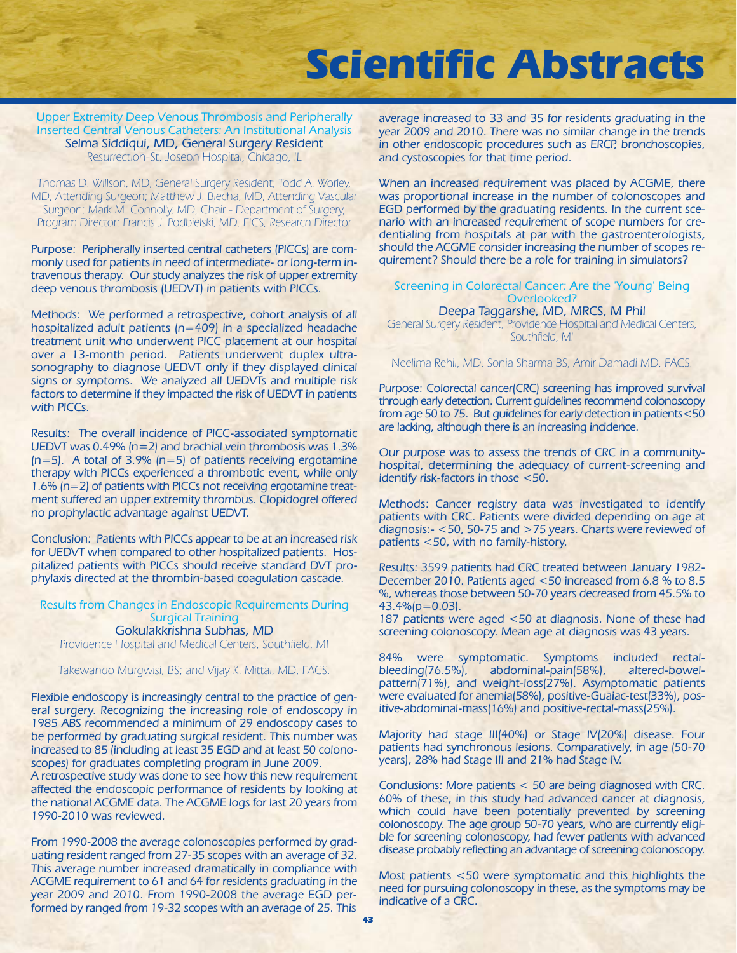Upper Extremity Deep Venous Thrombosis and Peripherally Inserted Central Venous Catheters: An Institutional Analysis Selma Siddiqui, MD, General Surgery Resident Resurrection-St. Joseph Hospital, Chicago, IL

Thomas D. Willson, MD, General Surgery Resident; Todd A. Worley, MD, Attending Surgeon; Matthew J. Blecha, MD, Attending Vascular Surgeon; Mark M. Connolly, MD, Chair - Department of Surgery, Program Director; Francis J. Podbielski, MD, FICS, Research Director

Purpose: Peripherally inserted central catheters (PICCs) are commonly used for patients in need of intermediate- or long-term intravenous therapy. Our study analyzes the risk of upper extremity deep venous thrombosis (UEDVT) in patients with PICCs.

Methods: We performed a retrospective, cohort analysis of all hospitalized adult patients (n=409) in a specialized headache treatment unit who underwent PICC placement at our hospital over a 13-month period. Patients underwent duplex ultrasonography to diagnose UEDVT only if they displayed clinical signs or symptoms. We analyzed all UEDVTs and multiple risk factors to determine if they impacted the risk of UEDVT in patients with PICCs.

Results: The overall incidence of PICC-associated symptomatic UEDVT was 0.49% (n=2) and brachial vein thrombosis was 1.3%  $(n=5)$ . A total of 3.9%  $(n=5)$  of patients receiving ergotamine therapy with PICCs experienced a thrombotic event, while only 1.6% (n=2) of patients with PICCs not receiving ergotamine treatment suffered an upper extremity thrombus. Clopidogrel offered no prophylactic advantage against UEDVT.

Conclusion: Patients with PICCs appear to be at an increased risk for UEDVT when compared to other hospitalized patients. Hospitalized patients with PICCs should receive standard DVT prophylaxis directed at the thrombin-based coagulation cascade.

Results from Changes in Endoscopic Requirements During Surgical Training Gokulakkrishna Subhas, MD

Providence Hospital and Medical Centers, Southfield, MI

Takewando Murgwisi, BS; and Vijay K. Mittal, MD, FACS.

Flexible endoscopy is increasingly central to the practice of general surgery. Recognizing the increasing role of endoscopy in 1985 ABS recommended a minimum of 29 endoscopy cases to be performed by graduating surgical resident. This number was increased to 85 (including at least 35 EGD and at least 50 colonoscopes) for graduates completing program in June 2009.

A retrospective study was done to see how this new requirement affected the endoscopic performance of residents by looking at the national ACGME data. The ACGME logs for last 20 years from 1990-2010 was reviewed.

From 1990-2008 the average colonoscopies performed by graduating resident ranged from 27-35 scopes with an average of 32. This average number increased dramatically in compliance with ACGME requirement to 61 and 64 for residents graduating in the year 2009 and 2010. From 1990-2008 the average EGD performed by ranged from 19-32 scopes with an average of 25. This

average increased to 33 and 35 for residents graduating in the year 2009 and 2010. There was no similar change in the trends in other endoscopic procedures such as ERCP, bronchoscopies, and cystoscopies for that time period.

When an increased requirement was placed by ACGME, there was proportional increase in the number of colonoscopes and EGD performed by the graduating residents. In the current scenario with an increased requirement of scope numbers for credentialing from hospitals at par with the gastroenterologists, should the ACGME consider increasing the number of scopes requirement? Should there be a role for training in simulators?

### Screening in Colorectal Cancer: Are the 'Young' Being Overlooked?

Deepa Taggarshe, MD, MRCS, M Phil General Surgery Resident, Providence Hospital and Medical Centers, Southfield, MI

Neelima Rehil, MD, Sonia Sharma BS, Amir Damadi MD, FACS.

Purpose: Colorectal cancer(CRC) screening has improved survival through early detection. Current guidelines recommend colonoscopy from age 50 to 75. But guidelines for early detection in patients<50 are lacking, although there is an increasing incidence.

Our purpose was to assess the trends of CRC in a communityhospital, determining the adequacy of current-screening and identify risk-factors in those <50.

Methods: Cancer registry data was investigated to identify patients with CRC. Patients were divided depending on age at diagnosis:- <50, 50-75 and >75 years. Charts were reviewed of patients <50, with no family-history.

Results: 3599 patients had CRC treated between January 1982- December 2010. Patients aged <50 increased from 6.8 % to 8.5 %, whereas those between 50-70 years decreased from 45.5% to 43.4%(p=0.03).

187 patients were aged <50 at diagnosis. None of these had screening colonoscopy. Mean age at diagnosis was 43 years.

84% were symptomatic. Symptoms included rectal-<br>bleeding(76.5%), abdominal-pain(58%), altered-bowelabdominal-pain(58%), altered-bowelpattern(71%), and weight-loss(27%). Asymptomatic patients were evaluated for anemia(58%), positive-Guaiac-test(33%), positive-abdominal-mass(16%) and positive-rectal-mass(25%).

Majority had stage III(40%) or Stage IV(20%) disease. Four patients had synchronous lesions. Comparatively, in age (50-70 years), 28% had Stage III and 21% had Stage IV.

Conclusions: More patients < 50 are being diagnosed with CRC. 60% of these, in this study had advanced cancer at diagnosis, which could have been potentially prevented by screening colonoscopy. The age group 50-70 years, who are currently eligible for screening colonoscopy, had fewer patients with advanced disease probably reflecting an advantage of screening colonoscopy.

Most patients <50 were symptomatic and this highlights the need for pursuing colonoscopy in these, as the symptoms may be indicative of a CRC.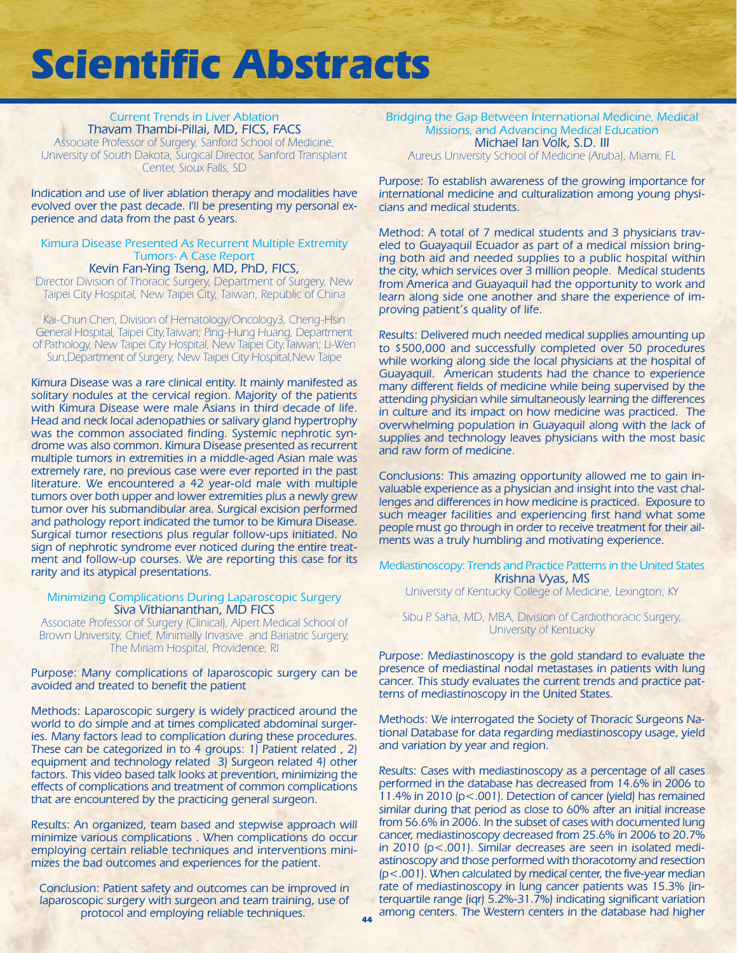#### Current Trends in Liver Ablation Thavam Thambi-Pillai, MD, FICS, FACS Associate Professor of Surgery, Sanford School of Medicine, University of South Dakota, Surgical Director, Sanford Transplant Center, Sioux Falls, SD

Indication and use of liver ablation therapy and modalities have evolved over the past decade. I'll be presenting my personal experience and data from the past 6 years.

Kimura Disease Presented As Recurrent Multiple Extremity Tumors- A Case Report Kevin Fan-Ying Tseng, MD, PhD, FICS,

Director Division of Thoracic Surgery, Department of Surgery, New Taipei City Hospital, New Taipei City, Taiwan, Republic of China

Kai-Chun Chen, Division of Hematology/Oncology3, Cheng-Hsin General Hospital, Taipei City,Taiwan; Ping-Hung Huang, Department of Pathology, New Taipei City Hospital, New Taipei City,Taiwan; Li-Wen Sun,Department of Surgery, New Taipei City Hospital,New Taipe

Kimura Disease was a rare clinical entity. It mainly manifested as solitary nodules at the cervical region. Majority of the patients with Kimura Disease were male Asians in third decade of life. Head and neck local adenopathies or salivary gland hypertrophy was the common associated finding. Systemic nephrotic syndrome was also common. Kimura Disease presented as recurrent multiple tumors in extremities in a middle-aged Asian male was extremely rare, no previous case were ever reported in the past literature. We encountered a 42 year-old male with multiple tumors over both upper and lower extremities plus a newly grew tumor over his submandibular area. Surgical excision performed and pathology report indicated the tumor to be Kimura Disease. Surgical tumor resections plus regular follow-ups initiated. No sign of nephrotic syndrome ever noticed during the entire treatment and follow-up courses. We are reporting this case for its rarity and its atypical presentations.

#### Minimizing Complications During Laparoscopic Surgery Siva Vithiananthan, MD FICS

Associate Professor of Surgery (Clinical), Alpert Medical School of Brown University, Chief, Minimally Invasive and Bariatric Surgery, The Miriam Hospital, Providence, RI

Purpose: Many complications of laparoscopic surgery can be avoided and treated to benefit the patient

Methods: Laparoscopic surgery is widely practiced around the world to do simple and at times complicated abdominal surgeries. Many factors lead to complication during these procedures. These can be categorized in to 4 groups: 1) Patient related , 2) equipment and technology related 3) Surgeon related 4) other factors. This video based talk looks at prevention, minimizing the effects of complications and treatment of common complications that are encountered by the practicing general surgeon.

Results: An organized, team based and stepwise approach will minimize various complications . When complications do occur employing certain reliable techniques and interventions minimizes the bad outcomes and experiences for the patient.

Conclusion: Patient safety and outcomes can be improved in laparoscopic surgery with surgeon and team training, use of protocol and employing reliable techniques.

Bridging the Gap Between International Medicine, Medical Missions, and Advancing Medical Education Michael Ian Volk, S.D. III Aureus University School of Medicine (Aruba), Miami, FL

Purpose: To establish awareness of the growing importance for international medicine and culturalization among young physicians and medical students.

Method: A total of 7 medical students and 3 physicians traveled to Guayaquil Ecuador as part of a medical mission bringing both aid and needed supplies to a public hospital within the city, which services over 3 million people. Medical students from America and Guayaquil had the opportunity to work and learn along side one another and share the experience of improving patient's quality of life.

Results: Delivered much needed medical supplies amounting up to \$500,000 and successfully completed over 50 procedures while working along side the local physicians at the hospital of Guayaquil. American students had the chance to experience many different fields of medicine while being supervised by the attending physician while simultaneously learning the differences in culture and its impact on how medicine was practiced. The overwhelming population in Guayaquil along with the lack of supplies and technology leaves physicians with the most basic and raw form of medicine.

Conclusions: This amazing opportunity allowed me to gain invaluable experience as a physician and insight into the vast challenges and differences in how medicine is practiced. Exposure to such meager facilities and experiencing first hand what some people must go through in order to receive treatment for their ailments was a truly humbling and motivating experience.

Mediastinoscopy: Trends and Practice Patterns in the United States Krishna Vyas, MS

University of Kentucky College of Medicine, Lexington, KY

Sibu P. Saha, MD, MBA, Division of Cardiothoracic Surgery, University of Kentucky

Purpose: Mediastinoscopy is the gold standard to evaluate the presence of mediastinal nodal metastases in patients with lung cancer. This study evaluates the current trends and practice patterns of mediastinoscopy in the United States.

Methods: We interrogated the Society of Thoracic Surgeons National Database for data regarding mediastinoscopy usage, yield and variation by year and region.

Results: Cases with mediastinoscopy as a percentage of all cases performed in the database has decreased from 14.6% in 2006 to 11.4% in 2010 (p<.001). Detection of cancer (yield) has remained similar during that period as close to 60% after an initial increase from 56.6% in 2006. In the subset of cases with documented lung cancer, mediastinoscopy decreased from 25.6% in 2006 to 20.7% in 2010 (p<.001). Similar decreases are seen in isolated mediastinoscopy and those performed with thoracotomy and resection (p<.001). When calculated by medical center, the five-year median rate of mediastinoscopy in lung cancer patients was 15.3% (interquartile range (iqr) 5.2%-31.7%) indicating significant variation among centers. The Western centers in the database had higher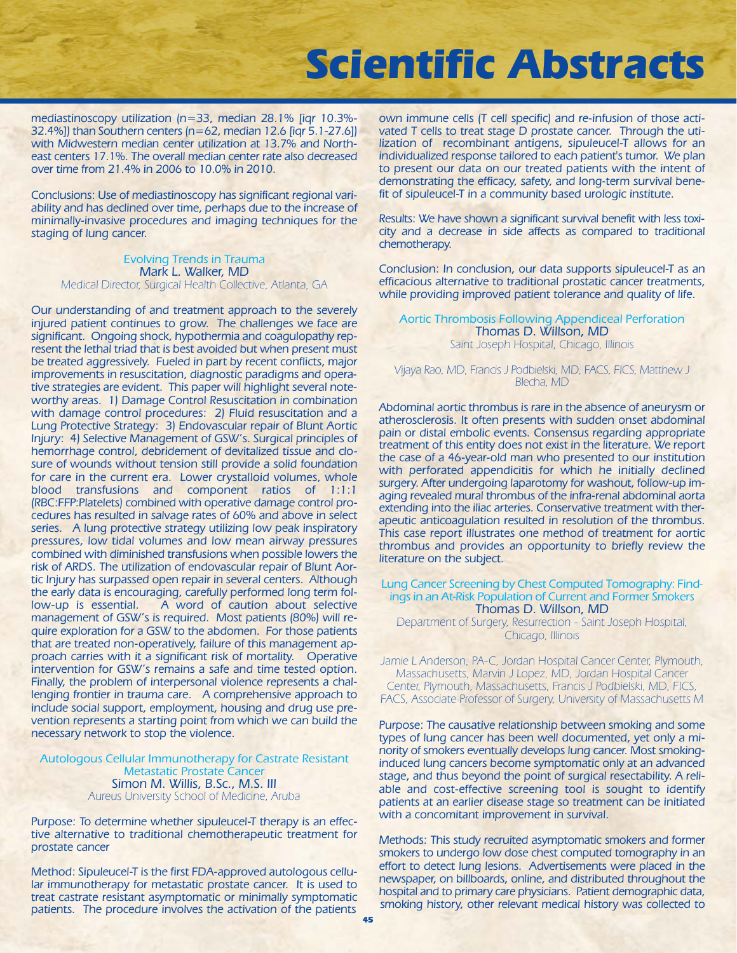mediastinoscopy utilization (n=33, median 28.1% [iqr 10.3%- 32.4%]) than Southern centers (n=62, median 12.6 [iqr 5.1-27.6]) with Midwestern median center utilization at 13.7% and Northeast centers 17.1%. The overall median center rate also decreased over time from 21.4% in 2006 to 10.0% in 2010.

Conclusions: Use of mediastinoscopy has significant regional variability and has declined over time, perhaps due to the increase of minimally-invasive procedures and imaging techniques for the staging of lung cancer.

Evolving Trends in Trauma Mark L. Walker, MD Medical Director, Surgical Health Collective, Atlanta, GA

Our understanding of and treatment approach to the severely injured patient continues to grow. The challenges we face are significant. Ongoing shock, hypothermia and coagulopathy represent the lethal triad that is best avoided but when present must be treated aggressively. Fueled in part by recent conflicts, major improvements in resuscitation, diagnostic paradigms and operative strategies are evident. This paper will highlight several noteworthy areas. 1) Damage Control Resuscitation in combination with damage control procedures: 2) Fluid resuscitation and a Lung Protective Strategy: 3) Endovascular repair of Blunt Aortic Injury: 4) Selective Management of GSW's. Surgical principles of hemorrhage control, debridement of devitalized tissue and closure of wounds without tension still provide a solid foundation for care in the current era. Lower crystalloid volumes, whole blood transfusions and component ratios of 1:1:1 (RBC:FFP:Platelets) combined with operative damage control procedures has resulted in salvage rates of 60% and above in select series. A lung protective strategy utilizing low peak inspiratory pressures, low tidal volumes and low mean airway pressures combined with diminished transfusions when possible lowers the risk of ARDS. The utilization of endovascular repair of Blunt Aortic Injury has surpassed open repair in several centers. Although the early data is encouraging, carefully performed long term follow-up is essential. A word of caution about selective management of GSW's is required. Most patients (80%) will require exploration for a GSW to the abdomen. For those patients that are treated non-operatively, failure of this management approach carries with it a significant risk of mortality. Operative intervention for GSW's remains a safe and time tested option. Finally, the problem of interpersonal violence represents a challenging frontier in trauma care. A comprehensive approach to include social support, employment, housing and drug use prevention represents a starting point from which we can build the necessary network to stop the violence.

Autologous Cellular Immunotherapy for Castrate Resistant Metastatic Prostate Cancer Simon M. Willis, B.Sc., M.S. III Aureus University School of Medicine, Aruba

Purpose: To determine whether sipuleucel-T therapy is an effective alternative to traditional chemotherapeutic treatment for prostate cancer

Method: Sipuleucel-T is the first FDA-approved autologous cellular immunotherapy for metastatic prostate cancer. It is used to treat castrate resistant asymptomatic or minimally symptomatic patients. The procedure involves the activation of the patients

own immune cells (T cell specific) and re-infusion of those activated T cells to treat stage D prostate cancer. Through the utilization of recombinant antigens, sipuleucel-T allows for an individualized response tailored to each patient's tumor. We plan to present our data on our treated patients with the intent of demonstrating the efficacy, safety, and long-term survival benefit of sipuleucel-T in a community based urologic institute.

Results: We have shown a significant survival benefit with less toxicity and a decrease in side affects as compared to traditional chemotherapy.

Conclusion: In conclusion, our data supports sipuleucel-T as an efficacious alternative to traditional prostatic cancer treatments, while providing improved patient tolerance and quality of life.

Aortic Thrombosis Following Appendiceal Perforation Thomas D. Willson, MD Saint Joseph Hospital, Chicago, Illinois

Vijaya Rao, MD, Francis J Podbielski, MD, FACS, FICS, Matthew J Blecha, MD

Abdominal aortic thrombus is rare in the absence of aneurysm or atherosclerosis. It often presents with sudden onset abdominal pain or distal embolic events. Consensus regarding appropriate treatment of this entity does not exist in the literature. We report the case of a 46-year-old man who presented to our institution with perforated appendicitis for which he initially declined surgery. After undergoing laparotomy for washout, follow-up imaging revealed mural thrombus of the infra-renal abdominal aorta extending into the iliac arteries. Conservative treatment with therapeutic anticoagulation resulted in resolution of the thrombus. This case report illustrates one method of treatment for aortic thrombus and provides an opportunity to briefly review the literature on the subject.

Lung Cancer Screening by Chest Computed Tomography: Findings in an At-Risk Population of Current and Former Smokers Thomas D. Willson, MD

Department of Surgery, Resurrection - Saint Joseph Hospital, Chicago, Illinois

Jamie L Anderson, PA-C, Jordan Hospital Cancer Center, Plymouth, Massachusetts, Marvin J Lopez, MD, Jordan Hospital Cancer Center, Plymouth, Massachusetts, Francis J Podbielski, MD, FICS, FACS, Associate Professor of Surgery, University of Massachusetts M

Purpose: The causative relationship between smoking and some types of lung cancer has been well documented, yet only a minority of smokers eventually develops lung cancer. Most smokinginduced lung cancers become symptomatic only at an advanced stage, and thus beyond the point of surgical resectability. A reliable and cost-effective screening tool is sought to identify patients at an earlier disease stage so treatment can be initiated with a concomitant improvement in survival.

Methods: This study recruited asymptomatic smokers and former smokers to undergo low dose chest computed tomography in an effort to detect lung lesions. Advertisements were placed in the newspaper, on billboards, online, and distributed throughout the hospital and to primary care physicians. Patient demographic data, smoking history, other relevant medical history was collected to